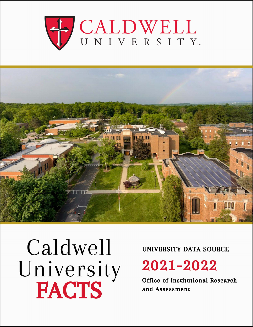



# Caldwell University<br>FACTS

#### UNIVERSITY DATA SOURCE

## 2021-2022

**Office of Institutional Research** and Assessment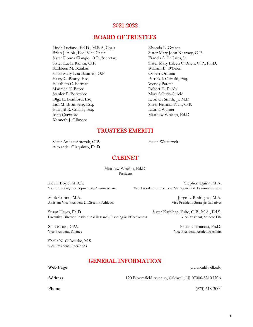#### 2021-2022

#### BOARD OF TRUSTEES

Linda Luciano, Ed.D., M.B.A, Chair Rhonda L. Graber Brian J. Aloia, Esq. Vice Chair Sister Mary John Kearney, O.P. Sister Donna Ciangio, O.P., Secretary Francis A. LeCates, Jr. Kathleen M. Barabas William B. O'Brien Sister Mary Lou Bauman, O.P. Osbert Orduna Harry C. Beatty, Esq. Patrick J. Osinski, Esq. Elizabeth C. Berman Wendy Parent Maureen T. Bezer Robert G. Purdy Stanley P. Borowiec Mary Sellitto-Curcio Olga E. Bradford, Esq. Leon G. Smith, Jr. M.D. Lisa M. Bromberg, Esq. Sister Patricia Tavis, O.P. Edward R. Collins, Esq. Laurita Warner John Crawford Matthew Whelan, Ed.D. Kenneth J. Gilmore

Sister Luella Ramm, O.P. Sister Mary Eileen O'Brien, O.P., Ph.D.

#### TRUSTEES EMERITI

Sister Arlene Antczak, O.P. Helen Westervelt Alexander Giaquinto, Ph.D.

#### CABINET

President Matthew Whelan, Ed.D.

Kevin Boyle, M.B.A. Stephen Quinn, M.A. Stephen Quinn, M.A. Stephen Quinn, M.A. Stephen Quinn, M.A. Stephen Quinn, M.A. Vice President, Enrollment Management & Communications

Mark Corino, M.A. Jorge L. Rodriguez, M.A. Assistant Vice President & Director, Athletics Vice President, Strategic Initiatives

Susan Hayes, Ph.D. Sister Kathleen Tuite, O.P., M.A., Ed.S. Executive Director, Institutional Research, Planning & Effectiveness Vice President, Student Life

Shin Moon, CPA Peter Ubertaccio, Ph.D. Vice President, Finance Vice President, Academic Affairs

Sheila N. O'Rourke, M.S. Vice President, Operations

#### GENERAL INFORMATION

| Web Page | www.caldwell.edu                                   |
|----------|----------------------------------------------------|
| Address  | 120 Bloomfield Avenue, Caldwell, NJ 07006-5310 USA |

**Phone** (973) 618-3000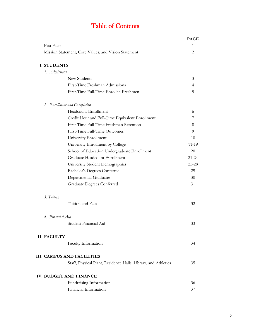## Table of Contents

|                                                                | <b>PAGE</b>    |
|----------------------------------------------------------------|----------------|
| <b>Fast Facts</b>                                              | 1              |
| Mission Statement, Core Values, and Vision Statement           | 2              |
| <b>I. STUDENTS</b>                                             |                |
| 1. Admissions                                                  |                |
| New Students                                                   | 3              |
| First-Time Freshman Admissions                                 | $\overline{4}$ |
| First-Time Full-Time Enrolled Freshmen                         | 5              |
|                                                                |                |
| 2. Enrollment and Completion                                   |                |
| Headcount Enrollment                                           | 6              |
| Credit Hour and Full-Time Equivalent Enrollment                | 7              |
| First-Time Full-Time Freshman Retention                        | 8              |
| First-Time Full-Time Outcomes                                  | 9              |
| University Enrollment                                          | 10             |
| University Enrollment by College                               | 11-19          |
| School of Education Undergraduate Enrollment                   | 20             |
| Graduate Headcount Enrollment                                  | $21 - 24$      |
| University Student Demographics                                | $25 - 28$      |
| Bachelor's Degrees Conferred                                   | 29             |
| Departmental Graduates                                         | 30             |
| <b>Graduate Degrees Conferred</b>                              | 31             |
| 3. Tuition                                                     |                |
| Tuition and Fees                                               | 32             |
|                                                                |                |
| 4. Financial Aid<br>Student Financial Aid                      |                |
|                                                                | 33             |
| <b>II. FACULTY</b>                                             |                |
| Faculty Information                                            | 34             |
| <b>III. CAMPUS AND FACILITIES</b>                              |                |
| Staff, Physical Plant, Residence Halls, Library, and Athletics | 35             |
|                                                                |                |
| IV. BUDGET AND FINANCE                                         |                |
| Fundraising Information                                        | 36             |
| Financial Information                                          | 37             |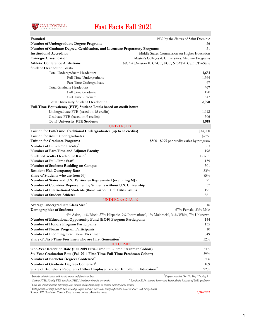

## Fast Facts Fall 2021

| Founded                                                                                  | 1939 by the Sisters of Saint Dominic                                                       |
|------------------------------------------------------------------------------------------|--------------------------------------------------------------------------------------------|
| Number of Undergraduate Degree Programs                                                  | 36                                                                                         |
| Number of Graduate Degree, Certification, and Licensure Preparatory Programs             | 31                                                                                         |
| <b>Institutional Accreditor</b>                                                          | Middle States Commission on Higher Education                                               |
| <b>Carnegie Classification</b>                                                           | Master's Colleges & Universities: Medium Programs                                          |
| <b>Athletic Conference Affiliations</b>                                                  | NCAA Division II, CACC, ECC, NCATA, CSFL, Tri-State                                        |
| <b>Student Headcount Totals</b>                                                          |                                                                                            |
| Total Undergraduate Headcount                                                            | 1,631                                                                                      |
| Full Time Undergraduate                                                                  | 1,564                                                                                      |
| Part Time Undergraduate                                                                  | 67                                                                                         |
| Total Graduate Headcount                                                                 | 467                                                                                        |
| Full Time Graduate                                                                       | 120                                                                                        |
| Part Time Graduate                                                                       | 347                                                                                        |
| <b>Total University Student Headcount</b>                                                | 2,098                                                                                      |
| Full-Time Equivalency (FTE) Student Totals based on credit hours                         |                                                                                            |
| Undergraduate FTE (based on 15 credits)                                                  | 1,612                                                                                      |
| Graduate FTE (based on 9 credits)                                                        | 306                                                                                        |
| <b>Total University FTE Students</b>                                                     | 1,918                                                                                      |
| <b>UNIVERSITY</b>                                                                        |                                                                                            |
| Tuition for Full-Time Traditional Undergraduates (up to 18 credits)                      | \$34,900                                                                                   |
| <b>Tuition for Adult Undergraduates</b>                                                  | \$725                                                                                      |
| <b>Tuition for Graduate Programs</b>                                                     | \$500 - \$995 per credit; varies by program                                                |
| Number of Full-Time Faculty <sup>1</sup>                                                 | 83                                                                                         |
| Number of Part-Time and Adjunct Faculty                                                  | 198                                                                                        |
| Student-Faculty Headcount Ratio <sup>2</sup>                                             | $12 \text{ to } 1$                                                                         |
| Number of Full-Time Staff                                                                | 139                                                                                        |
| Number of Students Residing on Campus                                                    | 501                                                                                        |
| <b>Resident Hall Occupancy Rate</b>                                                      | 83%                                                                                        |
| Share of Students who are from NJ                                                        | 85%                                                                                        |
| Number of States and U.S. Territories Represented (excluding NJ)                         | 21                                                                                         |
| Number of Countries Represented by Students without U.S. Citizenship                     | 37                                                                                         |
| Number of International Students (those without U.S. Citizenship)                        | 191                                                                                        |
| <b>Number of Student Athletes</b>                                                        | 361                                                                                        |
| <b>UNDERGRADUATE</b>                                                                     |                                                                                            |
| Average Undergraduate Class Size <sup>3</sup>                                            | 16                                                                                         |
| <b>Demographics of Students</b>                                                          | 67% Female, 33% Male                                                                       |
|                                                                                          | 4% Asian, 16% Black, 27% Hispanic, 9% International, 1% Multiracial, 36% White, 7% Unknown |
| Number of Educational Opportunity Fund (EOF) Program Participants                        | 144                                                                                        |
| <b>Number of Honors Program Participants</b>                                             | 135                                                                                        |
| <b>Number of Nexus Program Participants</b>                                              | 10                                                                                         |
| Number of Incoming Traditional Freshmen                                                  | 349                                                                                        |
| Share of First-Time Freshmen who are First Generation <sup>4</sup>                       | $52\%$                                                                                     |
| <b>OUTCOMES</b>                                                                          |                                                                                            |
| One-Year Retention Rate (Fall 2019 First-Time Full-Time Freshman Cohort)                 | 74%                                                                                        |
| Six-Year Graduation Rate (Fall 2014 First-Time Full-Time Freshman Cohort)                | 59%                                                                                        |
| Number of Bachelor Degrees Conferred <sup>5</sup>                                        | 306                                                                                        |
| Number of Graduate Degrees Conferred <sup>5</sup>                                        | 109                                                                                        |
| Share of Bachelor's Recipients Either Employed and/or Enrolled in Education <sup>6</sup> | 92%                                                                                        |
| Includes administrators with faculty status and faculty on leave                         | <sup>3</sup> Degrees awarded Dec 20/May 21/Aug 21                                          |
| $^2$ Student FTE/Faculty FTE based on IPEDS headcount formula, not credits               | $^6$ Based on 2021 Alumni Survey and Social Media Research of 2020 graduates               |

*3 Does not include tutorial, internship, lab, clinical, independent study, or student teaching course sections*

*4 Both parents (or single parent) have no college degree, but may have some college experience; based on 2021 CSI survey results* 

Source: EX Database, Census Day reports unless otherwise noted **1/10/2022**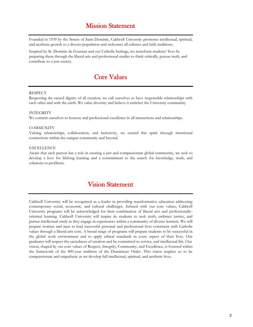#### Mission Statement

Founded in 1939 by the Sisters of Saint Dominic, Caldwell University promotes intellectual, spiritual, and aesthetic growth to a diverse population and welcomes all cultures and faith traditions.

Inspired by St. Dominic de Guzman and our Catholic heritage, we transform students' lives by preparing them through the liberal arts and professional studies to think critically, pursue truth, and contribute to a just society.

#### Core Values

#### RESPECT

Respecting the sacred dignity of all creation, we call ourselves to have responsible relationships with each other and with the earth. We value diversity and believe it enriches the University community.

#### INTEGRITY

We commit ourselves to honesty and professional excellence in all interactions and relationships.

#### **COMMUNITY**

Valuing relationships, collaboration, and inclusivity, we extend this spirit through intentional connections within the campus community and beyond.

#### EXCELLENCE

Aware that each person has a role in creating a just and compassionate global community, we seek to develop a love for lifelong learning and a commitment to the search for knowledge, truth, and solutions to problems.

#### Vision Statement

Caldwell University will be recognized as a leader in providing transformative education addressing contemporary social, economic, and cultural challenges. Infused with our core values, Caldwell University programs will be acknowledged for their combination of liberal arts and professionallyoriented learning. Caldwell University will inspire its students to seek truth, embrace justice, and pursue intellectual study as they engage in experiences within a community of diverse learners. We will prepare women and men to lead successful personal and professional lives consistent with Catholic values through a liberal arts core. A broad range of programs will prepare students to be successful in the global work environment and to apply ethical standards in every aspect of their lives. Our graduates will respect the sacredness of creation and be committed to service, and intellectual life. Our vision, shaped by our core values of Respect, Integrity, Community, and Excellence, is fostered within the framework of the 800-year tradition of the Dominican Order. This vision inspires us to be compassionate and empathetic as we develop full intellectual, spiritual, and aesthetic lives.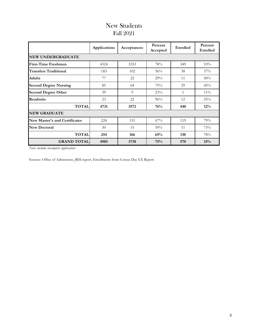#### Fall 2021 New Students

|                               | Applications | Acceptances    | Percent<br>Accepted | Enrolled | Percent<br>Enrolled |
|-------------------------------|--------------|----------------|---------------------|----------|---------------------|
| <b>NEW UNDERGRADUATE</b>      |              |                |                     |          |                     |
| <b>First-Time Freshmen</b>    | 4324         | 3353           | 78%                 | 349      | 10%                 |
| <b>Transfers Traditional</b>  | 183          | 102            | 56%                 | 38       | 37%                 |
| <b>Adults</b>                 | 77           | 22             | 29%                 | 11       | 50%                 |
| <b>Second Degree Nursing</b>  | 85           | 64             | 75%                 | 29       | 45%                 |
| <b>Second Degree Other</b>    | 39           | $\overline{Q}$ | 23%                 | 1        | $11\%$              |
| <b>Readmits</b>               | 23           | 22             | 96%                 | 12       | $55\%$              |
| <b>TOTAL</b>                  | 4731         | 3572           | 76%                 | 440      | $12\%$              |
| <b>NEW GRADUATE</b>           |              |                |                     |          |                     |
| New Master's and Certificates | 224          | 151            | 67%                 | 119      | 79%                 |
| <b>New Doctoral</b>           | 30           | 15             | 50%                 | 11       | 73%                 |
| <b>TOTAL</b>                  | 254          | 166            | 65%                 | 130      | 78%                 |
| <b>GRAND TOTAL</b>            | 4985         | 3738           | 75%                 | 570      | 15%                 |

*Note: includes incomplete applications*

Sources: Office of Admissions, JRM report, Enrollments from Census Day EX Report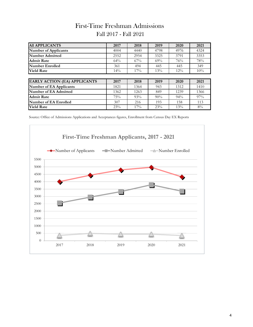#### First-Time Freshman Admissions Fall 2017 - Fall 2021

| <b>All APPLICANTS</b>               | 2017 | 2018   | 2019   | 2020   | 2021 |
|-------------------------------------|------|--------|--------|--------|------|
| <b>Number of Applicants</b>         | 4004 | 4440   | 4798   | 4976   | 4324 |
| Number Admitted                     | 2552 | 2954   | 3325   | 3791   | 3353 |
| <b>Admit Rate</b>                   | 64%  | $67\%$ | 69%    | 76%    | 78%  |
| Number Enrolled                     | 361  | 494    | 445    | 445    | 349  |
| <b>Yield Rate</b>                   | 14%  | 17%    | 13%    | $12\%$ | 10%  |
|                                     |      |        |        |        |      |
| <b>EARLY ACTION (EA) APPLICANTS</b> | 2017 | 2018   | 2019   | 2020   | 2021 |
| <b>Number of EA Applicants</b>      | 1821 | 1364   | 943    | 1312   | 1410 |
| Number of EA Admitted               | 1362 | 1263   | 849    | 1239   | 1366 |
| <b>Admit Rate</b>                   | 75%  | 93%    | $90\%$ | $94\%$ | 97%  |
| Number of EA Enrolled               | 307  | 216    | 193    | 158    | 113  |
| <b>Yield Rate</b>                   | 23%  | 17%    | 23%    | 13%    | 8%   |

Source: Office of Admissions Applications and Acceptances figures, Enrollment from Census Day EX Reports

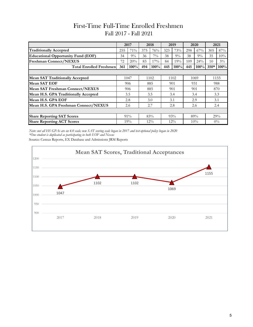#### First-Time Full-Time Enrolled Freshmen Fall 2017 - Fall 2021

|                                           |     | 2017  |     | 2018   |     | 2019   |     | 2020  |        | 2021  |
|-------------------------------------------|-----|-------|-----|--------|-----|--------|-----|-------|--------|-------|
| <b>Traditionally Accepted</b>             | 255 | 71%   | 375 | 76%    | 323 | 73%    | 298 | 67%   | 305    | 87%   |
| <b>Educational Opportunity Fund (EOF)</b> | 34  | $9\%$ | 36  | $7\%$  | 38  | $9\%$  | 38  | $9\%$ | 35     | 10%   |
| <b>Freshman Connect/NEXUS</b>             | 72  | 20%   | 83  | 17%    | 84  | 19%    | 109 | 24%   | 10     | $3\%$ |
| <b>Total Enrolled Freshmen</b>            | 361 | 100%  | 494 | 100%   | 445 | 100%   | 445 | 100%  | $350*$ | 100%  |
|                                           |     |       |     |        |     |        |     |       |        |       |
| <b>Mean SAT Traditionally Accepted</b>    |     | 1047  |     | 1102   |     | 1102   |     | 1069  |        | 1155  |
| Mean SAT EOF                              |     | 906   |     | 885    |     | 901    |     | 931   |        | 988   |
| Mean SAT Freshman Connect/NEXUS           |     | 906   |     | 885    | 901 |        |     | 901   |        | 870   |
| Mean H.S. GPA Traditionally Accepted      |     | 3.5   |     | 3.5    |     | 3.4    |     | 3.4   |        | 3.3   |
| Mean H.S. GPA EOF                         |     | 2.8   |     | 3.0    |     | 3.1    |     | 2.9   |        | 3.1   |
| Mean H.S. GPA Freshman Connect/NEXUS      |     | 2.6   |     | 2.7    |     | 2.8    |     | 2.6   |        | 2.4   |
|                                           |     |       |     |        |     |        |     |       |        |       |
| <b>Share Reporting SAT Scores</b>         |     | 91%   |     | 83%    |     | 93%    |     | 89%   |        | 29%   |
| <b>Share Reporting ACT Scores</b>         |     | 19%   |     | $12\%$ |     | $12\%$ |     | 10%   |        | $0\%$ |

*Note: not all HS GPAs are on 4.0 scale; new SAT scoring scale began in 2017 and test-optional policy began in 2020 \*One student is duplicated as participating in both EOF and Nexus*

Source: Census Reports, EX Database and Admissions JRM Reports

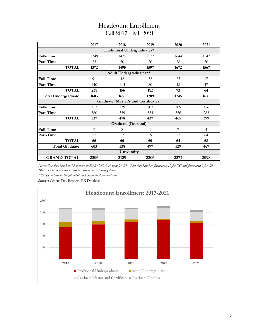#### Headcount Enrollment Fall 2017 - Fall 2021

|                            | 2017 | 2018                                        | 2019 | 2020 | 2021 |  |  |  |
|----------------------------|------|---------------------------------------------|------|------|------|--|--|--|
|                            |      | Traditional Undergraduates*                 |      |      |      |  |  |  |
| Full-Time                  | 1349 | 1475                                        | 1577 | 1644 | 1547 |  |  |  |
| Part-Time                  | 23   | 20                                          | 20   | 28   | 20   |  |  |  |
| <b>TOTAL</b>               | 1372 | 1495                                        | 1597 | 1672 | 1567 |  |  |  |
| Adult Undergraduates**     |      |                                             |      |      |      |  |  |  |
| Full-Time                  | 91   | 42                                          | 32   | 25   | 17   |  |  |  |
| Part-Time                  | 140  | 114                                         | 80   | 48   | 47   |  |  |  |
| <b>TOTAL</b>               | 231  | 156                                         | 112  | 73   | 64   |  |  |  |
| <b>Total Undergraduate</b> | 1603 | 1651                                        | 1709 | 1745 | 1631 |  |  |  |
|                            |      | <b>Graduate (Master's and Certificates)</b> |      |      |      |  |  |  |
| Full-Time                  | 157  | 139                                         | 103  | 109  | 116  |  |  |  |
| Part-Time                  | 380  | 339                                         | 334  | 356  | 283  |  |  |  |
| <b>TOTAL</b>               | 537  | 478                                         | 437  | 465  | 399  |  |  |  |
|                            |      | <b>Graduate (Doctoral)</b>                  |      |      |      |  |  |  |
| Full-Time                  | 9    | 8                                           | 1    | 7    | 4    |  |  |  |
| Part-Time                  | 57   | 52                                          | 59   | 57   | 64   |  |  |  |
| <b>TOTAL</b>               | 66   | 60                                          | 60   | 64   | 68   |  |  |  |
| <b>Total Graduate</b>      | 603  | 538                                         | 497  | 529  | 467  |  |  |  |
|                            |      | University                                  |      |      |      |  |  |  |
| <b>GRAND TOTAL</b>         | 2206 | 2189                                        | 2206 | 2274 | 2098 |  |  |  |

*\*Based on tuition charged, includes second degree nursing students Notes: Full time based on 12 or more credits for UG, 9 or more for GR. Part time based on fewer than 12 for UG and fewer than 9 for GR.*

*\*\*Based on tuition charged, adult undergraduate discounted rate*

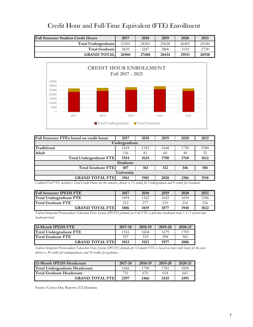| <b>Fall Semester Student Credit Hours</b> | 2017  | 2018  | 2019  | 2020  | 2021  |
|-------------------------------------------|-------|-------|-------|-------|-------|
| Total Undergraduate                       | 23301 | 24361 | 25628 | 26401 | 24180 |
| <b>Total Graduatel</b>                    | 3659  | 3247  | 2806  | 3110  | 2758  |
| <b>GRAND TOTALI</b>                       | 26960 | 27608 | 28434 | 29511 | 26938 |

#### Credit Hour and Full-Time Equivalent (FTE) Enrollment



| Fall Semester FTEs based on credit hours | 2017 | 2018 | 2019 | 2020 | 2021 |  |  |  |
|------------------------------------------|------|------|------|------|------|--|--|--|
| Undergraduate                            |      |      |      |      |      |  |  |  |
| Traditional                              | 1418 | 1543 | 1648 | 1720 | 1580 |  |  |  |
| Adult                                    | 136  | 81   | 60   | 40   | 32   |  |  |  |
| Total Undergraduate FTE                  | 1554 | 1624 | 1708 | 1760 | 1612 |  |  |  |
| Graduate                                 |      |      |      |      |      |  |  |  |
| <b>Total Graduate FTE</b>                | 407  | 361  | 312  | 346  | 306  |  |  |  |
| University                               |      |      |      |      |      |  |  |  |
| <b>GRAND TOTAL FTEI</b>                  | 1961 | 1985 | 2020 | 2106 | 1918 |  |  |  |

*Caldwell Fall FTE method is Total Credit Hours for the semester, divisor is 15 credits for Undergraduate and 9 credits for Graduate* 

| <b>Fall Semester IPEDS FTE</b> | 2017 | 2018 | 2019 | 2020 | 2021 |
|--------------------------------|------|------|------|------|------|
| Total Undergraduate FTE        | 1494 | 1562 | 1642 | 1694 | 1586 |
| <b>Total Graduate FTE</b>      | 312  | 277  | 235  | 254  | 236  |
| <b>GRAND TOTAL FTEL</b>        | 1806 | 1839 | 1877 | 1948 | 1822 |

*Federal Integrated Postsecondary Education Data System (IPEDS) formula for Fall FTE is full-time headcount total + 1/3 of part-time headcount total.* 

| 12-Month IPEDS FTE             | 2017-18 | 2018-19 | 2019-20 | 2020-21 |
|--------------------------------|---------|---------|---------|---------|
| <b>Total Undergraduate FTE</b> | 1516    | 1604    | 1679    | 1705    |
| Total Graduate FTE             | 337     | 319     | 298     | 301     |
| <b>GRAND TOTAL FTE</b>         | 1853    | 1923    | 1977    | 2006    |

*Federal Integrated Postsecondary Education Data System (IPEDS) formula for 12-month FTE is based on total credit hours for the year, divisor is 30 credits for undergraduates and 24 credits for graduates.*

| 12-Month IPEDS Headcount             | 2017-18 | 2018-19 | 2019-20 | 2020-21 |
|--------------------------------------|---------|---------|---------|---------|
| <b>Total Undergraduate Headcount</b> | 1666    | 1790    | 1781    | 1830    |
| <b>Total Graduate Headcount</b>      | 731     | 676     | 654     | 661     |
| <b>GRAND TOTAL FTE</b>               | 2397    | 2466    | 2435    | 2491    |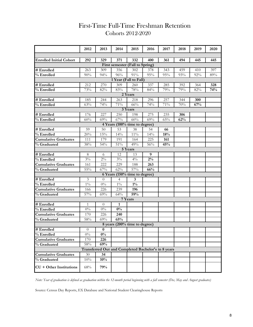|                                | 2012         | 2013             | 2014                            | 2015           | 2016                                                | 2017       | 2018       | 2019 | 2020 |  |
|--------------------------------|--------------|------------------|---------------------------------|----------------|-----------------------------------------------------|------------|------------|------|------|--|
|                                |              |                  |                                 |                |                                                     |            |            |      |      |  |
| <b>Enrolled Initial Cohort</b> | 292          | 329              | 371                             | 332            | 400                                                 | 361        | 494        | 445  | 445  |  |
|                                |              |                  | First semester (Fall to Spring) |                |                                                     |            |            |      |      |  |
| # Enrolled                     | 263          | 309              | 356                             | 302            | 378                                                 | 343        | 459        | 410  | 397  |  |
| % Enrolled                     | 90%          | 94%              | 96%                             | 91%            | 95%                                                 | 95%        | 93%        | 92%  | 89%  |  |
|                                |              |                  | 1 Year (Fall to Fall)           |                |                                                     |            |            |      |      |  |
| # Enrolled                     | 212          | 270              | 309                             | 260            | 337                                                 | 285        | 392        | 364  | 328  |  |
| % Enrolled                     | 73%          | 82%              | 83%                             | 78%            | 84%                                                 | 79%        | 79%        | 82%  | 74%  |  |
| 2 Years                        |              |                  |                                 |                |                                                     |            |            |      |      |  |
| # Enrolled                     | 185          | 244              | 263<br>71%                      | 218            | 296                                                 | 257        | 344        | 300  |      |  |
| % Enrolled                     | 63%          | 74%              |                                 | 66%<br>3 Years | 74%                                                 | 71%        | 70%        | 67%  |      |  |
|                                |              |                  |                                 |                |                                                     |            |            |      |      |  |
| # Enrolled<br>% Enrolled       | 176<br>60%   | 227<br>69%       | 250<br>67%                      | 198<br>60%     | 275<br>69%                                          | 235<br>65% | 306<br>62% |      |      |  |
|                                |              |                  | 4 Years (100% time to degree)   |                |                                                     |            |            |      |      |  |
| # Enrolled                     | 59           | 50               | 53                              | 38             | 54                                                  | 66         |            |      |      |  |
| % Enrolled                     | 20%          | 15%              | $14\%$                          | $11\%$         | 14%                                                 | 18%        |            |      |      |  |
| <b>Cumulative Graduates</b>    | 111          | 179              | 191                             | 164            | 225                                                 | 161        |            |      |      |  |
| % Graduated                    | 38%          | 54%              | $51\%$                          | 49%            | 56%                                                 | 45%        |            |      |      |  |
|                                |              |                  |                                 | 5 Years        |                                                     |            |            |      |      |  |
| # Enrolled                     | 8            | 6                | 12                              | 13             | 9                                                   |            |            |      |      |  |
| % Enrolled                     | $3\%$        | $2\%$            | $3\%$                           | $4\%$          | $2\%$                                               |            |            |      |      |  |
| <b>Cumulative Graduates</b>    | 161          | 222              | 229                             | 188            | 263                                                 |            |            |      |      |  |
| % Graduated                    | $55\%$       | 67%              | 62%                             | 57%            | 66%                                                 |            |            |      |      |  |
|                                |              |                  | 6 Years (150% time to degree)   |                |                                                     |            |            |      |      |  |
| # Enrolled                     | 3            | $\overline{0}$   | $\overline{4}$                  | 3              |                                                     |            |            |      |      |  |
| % Enrolled                     | $1\%$        | $0\%$            | $1\%$                           | $1\%$          |                                                     |            |            |      |      |  |
| <b>Cumulative Graduates</b>    | 166          | 226              | 239                             | 196            |                                                     |            |            |      |      |  |
| % Graduated                    | 57%          | 69%              | 64%                             | 59%            |                                                     |            |            |      |      |  |
|                                |              |                  |                                 | 7 Years        |                                                     |            |            |      |      |  |
| # Enrolled                     | $\mathbf{1}$ | $\boldsymbol{0}$ | 1                               |                |                                                     |            |            |      |      |  |
| % Enrolled                     | $0\%$        | $0\%$            | $\overline{0\%}$                |                |                                                     |            |            |      |      |  |
| <b>Cumulative Graduates</b>    | 170          | 226              | 240                             |                |                                                     |            |            |      |      |  |
| % Graduated                    | $58\%$       | 69%              | 65%                             |                |                                                     |            |            |      |      |  |
|                                |              |                  | 8 years (200% time to degree)   |                |                                                     |            |            |      |      |  |
| # Enrolled                     | $\theta$     | 0                |                                 |                |                                                     |            |            |      |      |  |
| % Enrolled                     | $0\%$        | $0\%$            |                                 |                |                                                     |            |            |      |      |  |
| <b>Cumulative Graduates</b>    | 170          | 226              |                                 |                |                                                     |            |            |      |      |  |
| % Graduated                    | $58\%$       | 69%              |                                 |                |                                                     |            |            |      |      |  |
|                                |              |                  |                                 |                | Transferred Out and Completed Bachelor's in 8 years |            |            |      |      |  |
| <b>Cumulative Graduates</b>    | 30           | 34               |                                 |                |                                                     |            |            |      |      |  |
| % Graduated                    | 10%          | 10%              |                                 |                |                                                     |            |            |      |      |  |
| $CU + Other$ Institutions      | 68%          | 79%              |                                 |                |                                                     |            |            |      |      |  |

#### First-Time Full-Time Freshman Retention Cohorts 2012-2020

*Note: Year of graduation is defined as graduation within the 12-month period beginning with a fall semester (Dec, May and August graduates)*

Source: Census Day Reports, EX Database and National Student Clearinghouse Reports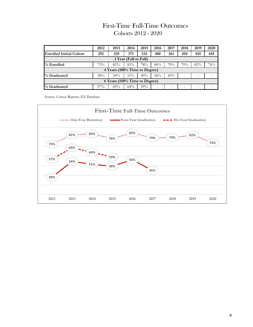#### First-Time Full-Time Outcomes Cohorts 2012 - 2020

|                                | 2012   | 2013                          | 2014   | 2015 | 2016 | 2017 | 2018                     | 2019 | 2020 |
|--------------------------------|--------|-------------------------------|--------|------|------|------|--------------------------|------|------|
| <b>Enrolled Initial Cohort</b> | 292    | 329                           | 371    | 332  | 400  | 361  | 494                      | 445  | 445  |
| 1 Year (Fall to Fall)          |        |                               |        |      |      |      |                          |      |      |
| $%$ Enrolled                   | 73%    | 82%                           | 83%    | 78%  | 84%  | 79%  | 79%                      | 82%  | 74%  |
|                                |        | 4 Years (100% Time to Degree) |        |      |      |      |                          |      |      |
| % Graduated                    | 38%    | 54%                           | $51\%$ | 49%  | 56%  | 45%  | $\overline{\phantom{0}}$ | -    |      |
| 6 Years (150% Time to Degree)  |        |                               |        |      |      |      |                          |      |      |
| % Graduated                    | $57\%$ | $69\%$                        | $64\%$ | 59%  | -    |      | -                        | -    |      |

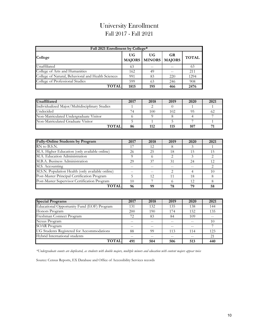#### University Enrollment Fall 2017 - Fall 2021

| Fall 2021 Enrollment by College*                                                |      |     |     |      |  |  |  |
|---------------------------------------------------------------------------------|------|-----|-----|------|--|--|--|
| UG<br>UG<br><b>GR</b><br><b>TOTAL</b><br>College<br><b>MAJORS MINORS MAJORS</b> |      |     |     |      |  |  |  |
| Unaffiliated                                                                    | 63   |     |     | 63   |  |  |  |
| College of Arts and Humanities                                                  | 162  | 49  |     | 211  |  |  |  |
| College of Natural, Behavioral and Health Sciences                              | 991  | 83  | 220 | 1294 |  |  |  |
| College of Professional Studies                                                 | 599  | 63  | 246 | 908  |  |  |  |
| <b>TOTAL</b>                                                                    | 1815 | 195 | 466 | 2476 |  |  |  |

| Unaffiliated                                   | 2017 | 2018 | 2019 | 2020 | 2021 |
|------------------------------------------------|------|------|------|------|------|
| Individualized Major/Multidisciplinary Studies |      |      |      |      |      |
| Undecided                                      |      | 100  | 102  |      |      |
| Non-Matriculated Undergraduate Visitor         |      |      |      |      |      |
| Non-Matriculated Graduate Visitor              |      |      |      |      |      |
| <b>TOTAL</b>                                   | 86   | 112  | 115  | 107  |      |

| <b>Fully-Online Students by Program</b>          | 2017 | 2018 | 2019 | 2020 | 2021 |
|--------------------------------------------------|------|------|------|------|------|
| RN to B.S.N.                                     | 17   | 12   |      |      |      |
| M.A. Higher Education (only available online)    | 26   | 25   | 18   | 15   | 15   |
| M.A. Education Administration                    |      |      |      |      |      |
| M.B.A. Business Administration                   | 29   | 37   | 31   | 24   | 12   |
| M.S. Accounting                                  | --   |      |      |      |      |
| M.S.N. Population Health (only available online) |      |      | ⌒    |      | 10   |
| Post-Master Principal Certification Program      |      | 12   | 11   | 18   |      |
| Post-Master Supervisor Certification Program     | 10   |      |      | 12   |      |
| <b>TOTAL</b>                                     | 96   | 99   | 78   | 79   | 58   |

| <b>Special Programs</b>                    | 2017 | 2018 | 2019 | 2020 | 2021 |
|--------------------------------------------|------|------|------|------|------|
| Educational Opportunity Fund (EOF) Program | 131  | 132  | 135  | 138  | 144  |
| Honors Program                             | 200  | 190  | 174  | 152  | 135  |
| Freshman Connect Program                   | 72   | 83   | 84   | 109  | $-$  |
| Nexus Program                              | --   |      |      |      | 10   |
| <b>SOAR Program</b>                        | --   | $-$  | $-$  | $-$  |      |
| UG Students Registered for Accommodations  | 88   | 99   | 113  | 114  | 123  |
| Hybrid International students              |      |      |      |      | 21   |
| <b>TOTAL</b>                               | 491  | 504  | 506  | 513  | 440  |

*\*Undergraduate counts are duplicated, as students with double majors, multiple minors and education with content majors appear twice*

Source: Census Reports, EX Database and Office of Accessibility Services records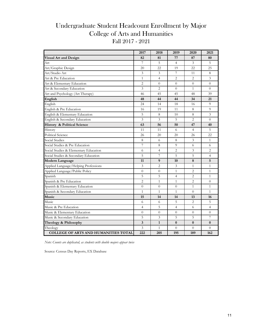#### Undergraduate Student Headcount Enrollment by Major Fall 2017 - 2021 College of Arts and Humanities

|                                             | 2017                     | 2018           | 2019           | 2020           | 2021           |
|---------------------------------------------|--------------------------|----------------|----------------|----------------|----------------|
| <b>Visual Art and Design</b>                | 82                       | 81             | 77             | 87             | 80             |
| Art                                         | 7                        | 5              | $\overline{4}$ | 3              | 5              |
| Art/Graphic Design                          | 20                       | 22             | 19             | 22             | 25             |
| Art/Studio Art                              | 3                        | 3              | 7              | 11             | 8              |
| Art & Pre Education                         | $\mathbf{1}$             | $\overline{4}$ | $\overline{2}$ | $\overline{2}$ | $\overline{3}$ |
| Art & Elementary Education                  | $\overline{2}$           | $\overline{0}$ | $\overline{0}$ | $\overline{0}$ | $\overline{0}$ |
| Art & Secondary Education                   | 3                        | $\overline{2}$ | $\Omega$       | $\mathbf{1}$   | $\Omega$       |
| Art and Psychology (Art Therapy)            | 46                       | 45             | 45             | 48             | 39             |
| English                                     | 48                       | 44             | 44             | 34             | 21             |
| English                                     | 24                       | 14             | 18             | 16             | 9              |
| English & Pre Education                     | 16                       | 19             | 11             | 8              | 9              |
| English & Elementary Education              | 5                        | 8              | 10             | 8              | $\overline{3}$ |
| English & Secondary Education               | 3                        | 3              | 5              | 2              | $\overline{0}$ |
| <b>History &amp; Political Science</b>      | 63                       | 56             | 50             | 47             | 40             |
| History                                     | 11                       | 11             | 6              | $\overline{4}$ | 5              |
| <b>Political Science</b>                    | 26                       | 20             | 20             | 26             | 22             |
| <b>Social Studies</b>                       | 8                        | 6              | 8              | 3              | 1              |
| Social Studies & Pre Education              | $\overline{\phantom{a}}$ | 8              | 9              | 6              | 6              |
| Social Studies & Elementary Education       | 6                        | $\overline{4}$ | $\overline{c}$ | 3              | $\overline{c}$ |
| Social Studies & Secondary Education        | 5                        | 7              | 5              | 5              | $\overline{4}$ |
| Modern Language                             | 11                       | 9              | 10             | 8              | 5              |
| Applied Language/Helping Professions        | $\overline{3}$           | $\overline{2}$ | $\overline{3}$ | $\mathbf{1}$   | $\mathbf{1}$   |
| Applied Language/Public Policy              | $\overline{0}$           | $\overline{0}$ | $\mathbf{1}$   | 2              | $\mathbf{1}$   |
| Spanish                                     | 5                        | 5              | $\overline{4}$ | $\overline{c}$ | $\mathbf{1}$   |
| Spanish & Pre Education                     | $\overline{2}$           | $\mathbf{1}$   | $\mathbf{1}$   | $\overline{2}$ | $\theta$       |
| Spanish & Elementary Education              | $\overline{0}$           | $\overline{0}$ | $\overline{0}$ | $\mathbf{1}$   | $\mathbf{1}$   |
| Spanish & Secondary Education               | $\mathbf{1}$             | $\mathbf{1}$   | $\mathbf{1}$   | $\Omega$       | $\mathbf{1}$   |
| Music                                       | 15                       | 14             | 14             | 13             | 16             |
| Music                                       | 6                        | 6              | 5              | 2              | 5              |
| Music & Pre Education                       | $\overline{4}$           | 5              | $\overline{4}$ | 6              | $\overline{4}$ |
| Music & Elementary Education                | $\overline{0}$           | $\Omega$       | $\theta$       | $\Omega$       | $\Omega$       |
| Music & Secondary Education                 | 5                        | 3              | 5              | 5              | 7              |
| Theology & Philosophy                       | 3                        | $\mathbf{1}$   | $\bf{0}$       | $\bf{0}$       | $\bf{0}$       |
| Theology                                    | 3                        | $\mathbf{1}$   | $\overline{0}$ | $\Omega$       | $\Omega$       |
| <b>COLLEGE OF ARTS AND HUMANITIES TOTAL</b> | 222                      | 205            | 195            | 189            | 162            |

*Note: Counts are duplicated, as students with double majors appear twice*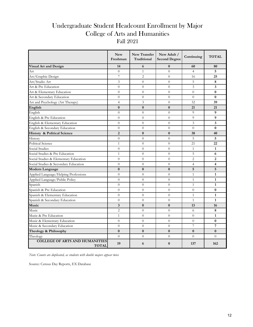### Undergraduate Student Headcount Enrollment by Major College of Arts and Humanities Fall 2021

|                                                       | <b>New</b><br>Freshman | New Transfer<br>Traditional | New Adult /<br><b>Second Degree</b> | Continuing     | <b>TOTAL</b>            |
|-------------------------------------------------------|------------------------|-----------------------------|-------------------------------------|----------------|-------------------------|
| <b>Visual Art and Design</b>                          | 14                     | 6                           | $\bf{0}$                            | 60             | 80                      |
| Art                                                   | $\overline{0}$         | $\mathbf{1}$                | $\overline{0}$                      | $\overline{4}$ | 5                       |
| Art/Graphic Design                                    | $\overline{7}$         | $\overline{2}$              | $\Omega$                            | 16             | 25                      |
| Art/Studio Art                                        | 3                      | $\Omega$                    | $\Omega$                            | 5              | 8                       |
| Art & Pre Education                                   | $\overline{0}$         | $\theta$                    | $\overline{0}$                      | 3              | $\overline{\mathbf{3}}$ |
| Art & Elementary Education                            | $\overline{0}$         | $\overline{0}$              | $\overline{0}$                      | $\theta$       | $\bf{0}$                |
| Art & Secondary Education                             | $\Omega$               | $\overline{0}$              | $\theta$                            | $\Omega$       | $\bf{0}$                |
| Art and Psychology (Art Therapy)                      | $\overline{4}$         | 3                           | $\overline{0}$                      | 32             | 39                      |
| English                                               | $\bf{0}$               | $\bf{0}$                    | $\bf{0}$                            | 21             | 21                      |
| English                                               | $\overline{0}$         | $\Omega$                    | $\Omega$                            | 9              | 9                       |
| English & Pre Education                               | $\overline{0}$         | $\overline{0}$              | $\overline{0}$                      | 9              | 9                       |
| English & Elementary Education                        | $\overline{0}$         | $\theta$                    | $\overline{0}$                      | 3              | 3                       |
| English & Secondary Education                         | $\overline{0}$         | $\Omega$                    | $\overline{0}$                      | $\theta$       | $\bf{0}$                |
| <b>History &amp; Political Science</b>                | $\overline{2}$         | $\mathbf{0}$                | $\mathbf{0}$                        | 38             | 40                      |
| History                                               | $\overline{0}$         | $\overline{0}$              | $\overline{0}$                      | 5              | 5                       |
| <b>Political Science</b>                              | $\mathbf{1}$           | $\theta$                    | $\overline{0}$                      | 21             | 22                      |
| Social Studies                                        | $\Omega$               | $\Omega$                    | $\Omega$                            | $\mathbf{1}$   | $\mathbf{1}$            |
| Social Studies & Pre Education                        | $\mathbf{1}$           | $\theta$                    | $\overline{0}$                      | 5              | 6                       |
| Social Studies & Elementary Education                 | $\overline{0}$         | $\Omega$                    | $\Omega$                            | $\overline{2}$ | $\overline{2}$          |
| Social Studies & Secondary Education                  | $\overline{0}$         | $\Omega$                    | $\Omega$                            | $\overline{4}$ | $\overline{\mathbf{4}}$ |
| Modern Language                                       | $\bf{0}$               | $\bf{0}$                    | $\bf{0}$                            | 5              | 5                       |
| Applied Language/Helping Professions                  | $\overline{0}$         | $\overline{0}$              | $\theta$                            | $\mathbf{1}$   | $\mathbf{1}$            |
| Applied Language/Public Policy                        | $\theta$               | $\theta$                    | $\theta$                            | $\mathbf{1}$   | $\mathbf{1}$            |
| Spanish                                               | $\Omega$               | $\Omega$                    | $\Omega$                            | $\mathbf{1}$   | $\mathbf{1}$            |
| Spanish & Pre Education                               | $\overline{0}$         | $\theta$                    | $\overline{0}$                      | $\theta$       | $\bf{0}$                |
| Spanish & Elementary Education                        | $\overline{0}$         | $\Omega$                    | $\overline{0}$                      | $\mathbf{1}$   | $\mathbf{1}$            |
| Spanish & Secondary Education                         | $\overline{0}$         | $\Omega$                    | $\Omega$                            | $\mathbf{1}$   | $\mathbf{1}$            |
| Music                                                 | 3                      | $\bf{0}$                    | $\bf{0}$                            | 13             | 16                      |
| Music                                                 | $\overline{2}$         | $\theta$                    | $\overline{0}$                      | 6              | 8                       |
| Music & Pre Education                                 | $\mathbf{1}$           | $\Omega$                    | $\overline{0}$                      | $\overline{0}$ | $\mathbf{1}$            |
| Music & Elementary Education                          | $\overline{0}$         | $\theta$                    | $\overline{0}$                      | $\overline{0}$ | $\bf{0}$                |
| Music & Secondary Education                           | $\overline{0}$         | $\theta$                    | $\overline{0}$                      | 7              | 7                       |
| Theology & Philosophy                                 | $\bf{0}$               | $\bf{0}$                    | $\bf{0}$                            | $\bf{0}$       | $\bf{0}$                |
| Theology                                              | $\Omega$               | $\Omega$                    | $\Omega$                            | $\theta$       | $\Omega$                |
| <b>COLLEGE OF ARTS AND HUMANITIES</b><br><b>TOTAL</b> | 19                     | 6                           | $\bf{0}$                            | 137            | 162                     |

*Note: Counts are duplicated, as students with double majors appear twice*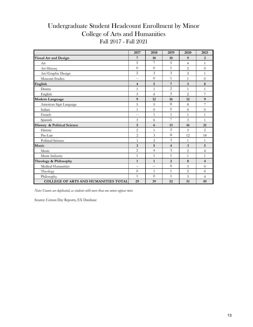#### Undergraduate Student Headcount Enrollment by Minor Fall 2017 - Fall 2021 College of Arts and Humanities

|                                             | 2017                    | 2018           | 2019                    | 2020           | 2021           |
|---------------------------------------------|-------------------------|----------------|-------------------------|----------------|----------------|
| <b>Visual Art and Design</b>                | 7                       | 10             | 10                      | 9              | $\overline{2}$ |
| Art                                         | 5                       | $\overline{7}$ | 5                       | $\overline{4}$ | $\mathbf{1}$   |
| Art History                                 | $\theta$                | $\theta$       | $\mathbf{1}$            | $\overline{2}$ | $\overline{0}$ |
| Art/Graphic Design                          | $\overline{2}$          | 3              | 3                       | $\overline{2}$ | $\mathbf{1}$   |
| Museum Studies                              | $\overline{a}$          | $\theta$       | $\mathbf{1}$            | 1              | $\overline{0}$ |
| English                                     | $\overline{\mathbf{4}}$ | 5              | 7                       | 3              | 8              |
| Drama                                       | $\mathbf{1}$            | $\mathbf{1}$   | $\overline{2}$          | $\mathbf{1}$   | $\mathbf{1}$   |
| English                                     | 3                       | $\overline{4}$ | 5                       | $\overline{2}$ | 7              |
| Modern Language                             | 9                       | 12             | 16                      | 12             | 9              |
| American Sign Language                      | 5                       | 5              | 8                       | 8              | 7              |
| Italian                                     | 1                       | $\overline{0}$ | $\Omega$                | $\overline{0}$ | $\overline{0}$ |
| French                                      | $\overline{a}$          | $\mathbf{1}$   | $\mathbf{1}$            | $\mathbf{1}$   | $\mathbf{1}$   |
| Spanish                                     | 3                       | 6              | 7                       | 3              | $\mathbf{1}$   |
| <b>History &amp; Political Science</b>      | 5                       | 6              | 13                      | 16             | 21             |
| History                                     | $\overline{2}$          | 1              | $\overline{2}$          | 3              | $\overline{2}$ |
| Pre-Law                                     | $\overline{c}$          | 3              | 8                       | 12             | 18             |
| <b>Political Science</b>                    | 1                       | $\overline{2}$ | 3                       | 1              | $\mathbf{1}$   |
| Music                                       | 3                       | 5              | $\overline{\mathbf{4}}$ | 3              | 5              |
| Music                                       | $\overline{2}$          | $\overline{4}$ | 3                       | $\overline{2}$ | $\overline{4}$ |
| Music Industry                              | 1                       | 1              | $\mathbf{1}$            | 1              | $\mathbf{1}$   |
| Theology & Philosophy                       | $\mathbf{1}$            | $\mathbf{1}$   | $\overline{2}$          | 8              | $\overline{4}$ |
| Medical Humanities                          | $-$                     | $-$            | $\theta$                | 3              | $\theta$       |
| Theology                                    | $\Omega$                | $\mathbf{1}$   | 1                       | $\overline{c}$ | $\overline{0}$ |
| Philosophy                                  | $\mathbf{1}$            | $\Omega$       | $\mathbf{1}$            | 3              | $\overline{4}$ |
| <b>COLLEGE OF ARTS AND HUMANITIES TOTAL</b> | 29                      | 39             | 52                      | 51             | 49             |

*Note: Counts are duplicated, as students with more than one minor appear twice*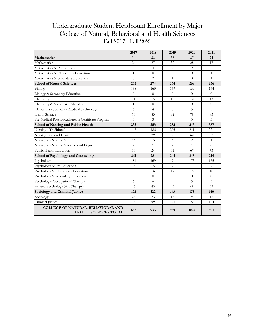## Undergraduate Student Headcount Enrollment by Major College of Natural, Behavioral and Health Sciences Fall 2017 - Fall 2021

|                                                                    | 2017           | 2018           | 2019           | 2020           | 2021           |
|--------------------------------------------------------------------|----------------|----------------|----------------|----------------|----------------|
| <b>Mathematics</b>                                                 | 34             | 33             | 35             | 37             | 24             |
| Mathematics                                                        | 24             | 27             | 32             | 28             | 17             |
| Mathematics & Pre Education                                        | 6              | $\overline{4}$ | $\overline{2}$ | 9              | 5              |
| Mathematics & Elementary Education                                 | $\mathbf{1}$   | $\Omega$       | $\Omega$       | $\Omega$       | $\mathbf{1}$   |
| Mathematics & Secondary Education                                  | 3              | $\overline{c}$ | $\mathbf{1}$   | $\overline{0}$ | $\mathbf{1}$   |
| <b>School of Natural Sciences</b>                                  | 232            | 274            | 264            | 268            | 256            |
| Biology                                                            | 138            | 169            | 159            | 169            | 144            |
| Biology & Secondary Education                                      | $\theta$       | $\theta$       | $\theta$       | $\theta$       | $\overline{0}$ |
| Chemistry                                                          | 11             | 15             | 16             | 12             | 13             |
| Chemistry & Secondary Education                                    | $\mathbf{1}$   | $\theta$       | $\Omega$       | $\theta$       | $\Omega$       |
| Clinical Lab Sciences / Medical Technology                         | 6              | $\overline{4}$ | 3              | 5              | 3              |
| <b>Health Science</b>                                              | 73             | 83             | 82             | 79             | 93             |
| Pre-Medical Post-Baccalaureate Certificate Program                 | 3              | $\overline{3}$ | $\overline{4}$ | 3              | $\overline{3}$ |
| <b>School of Nursing and Public Health</b>                         | 233            | 253            | 283            | 343            | 357            |
| Nursing - Traditional                                              | 147            | 186            | 206            | 211            | 221            |
| Nursing - Second Degree                                            | 35             | 29             | 38             | 62             | 62             |
| Nursing - RN to BSN                                                | 16             | 13             | 6              | $\overline{2}$ | $\mathbf{1}$   |
| Nursing - RN to BSN w/ Second Degree                               | $\overline{2}$ | 1              | $\overline{2}$ | $\mathbf{1}$   | $\Omega$       |
| Public Health Education                                            | 33             | 24             | 31             | 67             | 73             |
| <b>School of Psychology and Counseling</b>                         | 261            | 251            | 244            | 248            | 214            |
| Psychology                                                         | 181            | 169            | 171            | 173            | 155            |
| Psychology & Pre Education                                         | 13             | 15             | $\overline{7}$ | 7              | 7              |
| Psychology & Elementary Education                                  | 15             | 16             | 17             | 15             | 10             |
| Psychology & Secondary Education                                   | $\Omega$       | $\Omega$       | $\Omega$       | $\overline{0}$ | $\overline{0}$ |
| Psychology/Occupational Therapy                                    | 6              | 6              | $\overline{4}$ | 5              | 3              |
| Art and Psychology (Art Therapy)                                   | 46             | 45             | 45             | 48             | 39             |
| Sociology and Criminal Justice                                     | 102            | 122            | 143            | 178            | 140            |
| Sociology                                                          | 26             | 23             | 18             | 24             | 16             |
| Criminal Justice                                                   | 76             | 99             | 125            | 154            | 124            |
| COLLEGE OF NATURAL, BEHAVIORAL AND<br><b>HEALTH SCIENCES TOTAL</b> | 862            | 933            | 969            | 1074           | 991            |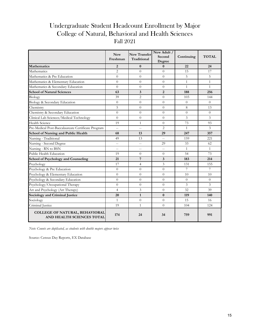#### Undergraduate Student Headcount Enrollment by Major College of Natural, Behavioral and Health Sciences Fall 2021

|                                                                    | <b>New</b><br>Freshman | <b>New Transfer</b><br>Traditional | New Adult /<br>Second<br>Degree | Continuing     | <b>TOTAL</b>   |
|--------------------------------------------------------------------|------------------------|------------------------------------|---------------------------------|----------------|----------------|
| <b>Mathematics</b>                                                 | $\overline{2}$         | $\mathbf{0}$                       | $\bf{0}$                        | 22             | 24             |
| Mathematics                                                        | $\overline{2}$         | $\Omega$                           | $\theta$                        | 15             | 17             |
| Mathematics & Pre Education                                        | $\Omega$               | $\Omega$                           | $\overline{0}$                  | 5              | 5              |
| Mathematics & Elementary Education                                 | $\theta$               | $\theta$                           | $\overline{0}$                  | $\mathbf{1}$   | $\mathbf{1}$   |
| Mathematics & Secondary Education                                  | $\Omega$               | $\Omega$                           | $\Omega$                        | $\mathbf{1}$   | $\mathbf{1}$   |
| <b>School of Natural Sciences</b>                                  | 63                     | 3                                  | $\overline{2}$                  | 188            | 256            |
| Biology                                                            | 39                     | $\overline{2}$                     | $\Omega$                        | 103            | 144            |
| Biology & Secondary Education                                      | $\theta$               | $\Omega$                           | $\Omega$                        | $\Omega$       | $\Omega$       |
| Chemistry                                                          | 5                      | $\Omega$                           | $\Omega$                        | 8              | 13             |
| Chemistry & Secondary Education                                    | $\Omega$               | $\Omega$                           | $\Omega$                        | $\theta$       | $\Omega$       |
| Clinical Lab Sciences/Medical Technology                           | $\Omega$               | $\Omega$                           | $\Omega$                        | 3              | 3              |
| <b>Health Science</b>                                              | 19                     | $\mathbf{1}$                       | $\overline{0}$                  | 73             | 93             |
| Pre-Medical Post-Baccalaureate Certificate Program                 | $\overline{a}$         | $\overline{\phantom{0}}$           | $\overline{2}$                  | $\mathbf{1}$   | 3              |
| School of Nursing and Public Health                                | 68                     | 13                                 | 29                              | 247            | 357            |
| Nursing - Traditional                                              | 49                     | 13                                 | $\overline{\phantom{0}}$        | 159            | 221            |
| Nursing - Second Degree                                            | $-$                    | $-$                                | 29                              | 33             | 62             |
| Nursing - RN to BSN                                                | $\qquad \qquad -$      | $\overline{a}$                     | $\qquad \qquad -$               | $\mathbf{1}$   | $\mathbf{1}$   |
| Public Health Education                                            | 19                     | $\Omega$                           | $\Omega$                        | 54             | 73             |
| School of Psychology and Counseling                                | 21                     | 7                                  | 3                               | 183            | 214            |
| Psychology                                                         | 17                     | $\overline{4}$                     | 3                               | 131            | 155            |
| Psychology & Pre Education                                         | $\theta$               | $\Omega$                           | $\overline{0}$                  | 7              | 7              |
| Psychology & Elementary Education                                  | $\theta$               | $\Omega$                           | $\overline{0}$                  | 10             | 10             |
| Psychology & Secondary Education                                   | $\theta$               | $\theta$                           | $\overline{0}$                  | $\overline{0}$ | $\overline{0}$ |
| Psychology/Occupational Therapy                                    | $\Omega$               | $\theta$                           | $\Omega$                        | 3              | 3              |
| Art and Psychology (Art Therapy)                                   | $\overline{4}$         | 3                                  | $\overline{0}$                  | 32             | 39             |
| Sociology and Criminal Justice                                     | 20                     | $\mathbf{1}$                       | $\mathbf{0}$                    | 119            | 140            |
| Sociology                                                          | $\mathbf{1}$           | $\Omega$                           | $\overline{0}$                  | 15             | 16             |
| Criminal Justice                                                   | 19                     | $\mathbf{1}$                       | $\Omega$                        | 104            | 124            |
| <b>COLLEGE OF NATURAL, BEHAVIORAL</b><br>AND HEALTH SCIENCES TOTAL | 174                    | 24                                 | 34                              | 759            | 991            |

*Note: Counts are duplicated, as students with double majors appear twice*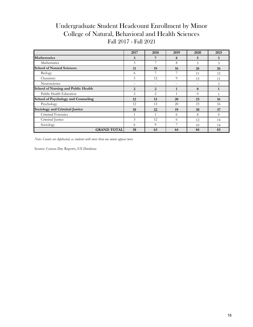#### Undergraduate Student Headcount Enrollment by Minor Fall 2017 - Fall 2021 College of Natural, Behavioral and Health Sciences

|                                            | 2017           | 2018  | 2019        | 2020     | 2021 |
|--------------------------------------------|----------------|-------|-------------|----------|------|
| <b>Mathematics</b>                         | 3              | 7     | 8           | 5        | 3    |
| Mathematics                                | 3              | 7     | 8           | 5        | 3    |
| <b>School of Natural Sciences</b>          | 11             | 19    | 16          | 26       | 26   |
| Biology                                    | 6              |       |             | 11       | 12   |
| Chemistry                                  | 5              | 12    | 9           | 15       | 11   |
| Neuroscience                               | $- -$          | $- -$ | $-$         | $-$      | 3    |
| <b>School of Nursing and Public Health</b> | $\overline{2}$ | 2     | $\mathbf 1$ | $\bf{0}$ |      |
| Public Health Education                    | 2              | 2     | $\mathbf 1$ | $\Omega$ |      |
| School of Psychology and Counseling        | 12             | 13    | 20          | 23       | 16   |
| Psychology                                 | 12             | 13    | 20          | 23       | 16   |
| <b>Sociology and Criminal Justice</b>      | 10             | 22    | 19          | 30       | 37   |
| Criminal Forensics                         | $\mathbf 1$    | 1     | 6           | 8        | 9    |
| Criminal Justice                           | 3              | 12    | 6           | 12       | 14   |
| Sociology                                  | 6              | 9     | 7           | 10       | 14   |
| <b>GRAND TOTAL</b>                         | 38             | 63    | 64          | 84       | 83   |

*Note: Counts are duplicated, as students with more than one minor appear twice*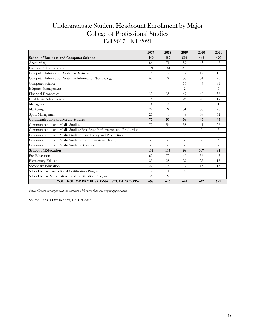#### Undergraduate Student Headcount Enrollment by Major College of Professional Studies Fall 2017 - Fall 2021

|                                                                      | 2017           | 2018                     | 2019                     | 2020           | 2021           |
|----------------------------------------------------------------------|----------------|--------------------------|--------------------------|----------------|----------------|
| <b>School of Business and Computer Science</b>                       | 449            | 452                      | 504                      | 462            | 470            |
| Accounting                                                           | 84             | 71                       | 59                       | 63             | 47             |
| <b>Business Administration</b>                                       | 191            | 181                      | 205                      | 172            | 157            |
| Computer Information Systems/Business                                | 14             | 12                       | 17                       | 19             | 16             |
| Computer Information Systems/Information Technology                  | 68             | 74                       | 55                       | 31             | 26             |
| Computer Science                                                     | --             | $\overline{a}$           | 15                       | 44             | 81             |
| E Sports Management                                                  | $\overline{a}$ | $-$                      | 2                        | $\overline{4}$ | 7              |
| <b>Financial Economics</b>                                           | 33             | 35                       | 47                       | 40             | 36             |
| Healthcare Administration                                            | 16             | 15                       | 24                       | 20             | 19             |
| Management                                                           | $\Omega$       | $\Omega$                 | $\Omega$                 | $\theta$       | $\mathbf{1}$   |
| Marketing                                                            | 22             | 24                       | 31                       | 30             | 28             |
| Sport Management                                                     | 21             | 40                       | 49                       | 39             | 52             |
| <b>Communication and Media Studies</b>                               | 77             | 56                       | 58                       | 43             | 45             |
| Communication and Media Studies                                      | 77             | 56                       | 58                       | 41             | 26             |
| Communication and Media Studies/Broadcast Performance and Production | $\sim$         | $\overline{\phantom{a}}$ | $\overline{a}$           | $\theta$       | 5              |
| Communication and Media Studies/Film Theory and Production           | $\overline{a}$ | $\overline{a}$           | $\overline{\phantom{a}}$ | $\Omega$       | 6              |
| Communication and Media Studies/Communication Theory                 | $\overline{a}$ | $\overline{a}$           |                          | $\overline{2}$ | 6              |
| Communication and Media Studies/Business                             |                |                          |                          | $\Omega$       | $\overline{2}$ |
| <b>School of Education</b>                                           | 132            | 135                      | 99                       | 107            | 84             |
| Pre-Education                                                        | 67             | 72                       | 40                       | 56             | 43             |
| <b>Elementary Education</b>                                          | 29             | 28                       | 29                       | 27             | 17             |
| Secondary Education                                                  | 22             | 18                       | 17                       | 13             | 13             |
| School Nurse Instructional Certification Program                     | 12             | 11                       | 8                        | 8              | 8              |
| School Nurse Non-Instructional Certification Program                 | $\overline{2}$ | 6                        | 5                        | 3              | 3              |
| <b>COLLEGE OF PROFESSIONAL STUDIES TOTAL</b>                         | 658            | 643                      | 661                      | 612            | 599            |

*Note: Counts are duplicated, as students with more than one major appear twice*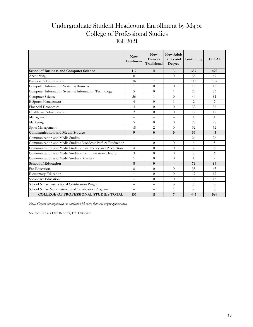## Undergraduate Student Headcount Enrollment by Major College of Professional Studies Fall 2021

|                                                              | <b>New</b><br>Freshman | <b>New</b><br>Transfer<br>Traditional | <b>New Adult</b><br>/ Second<br>Degree | Continuing     | <b>TOTAL</b>   |
|--------------------------------------------------------------|------------------------|---------------------------------------|----------------------------------------|----------------|----------------|
| <b>School of Business and Computer Science</b>               | 119                    | 11                                    | 3                                      | 337            | 470            |
| Accounting                                                   | 8                      | $\mathbf{1}$                          | $\theta$                               | 38             | 47             |
| <b>Business Administration</b>                               | 36                     | 7                                     | 1                                      | 113            | 157            |
| Computer Information Systems/Business                        | $\mathbf{1}$           | $\Omega$                              | $\theta$                               | 15             | 16             |
| Computer Information Systems/Information Technology          | 5                      | $\Omega$                              | $\mathbf{1}$                           | 20             | 26             |
| Computer Science                                             | 36                     | $\mathbf{1}$                          | $\Omega$                               | 44             | 81             |
| E Sports Management                                          | $\overline{4}$         | $\theta$                              | $\mathbf{1}$                           | $\overline{2}$ | $\overline{7}$ |
| Financial Economics                                          | $\overline{4}$         | $\Omega$                              | $\Omega$                               | 32             | 36             |
| Healthcare Administration                                    | $\overline{2}$         | $\Omega$                              | $\Omega$                               | 17             | 19             |
| Management                                                   | $-$                    |                                       | $\overline{a}$                         | $\mathbf{1}$   | $\mathbf{1}$   |
| Marketing                                                    | 5                      | $\Omega$                              | $\Omega$                               | 23             | 28             |
| Sport Management                                             | 18                     | $\overline{2}$                        | $\Omega$                               | 32             | 52             |
| <b>Communication and Media Studies</b>                       | 9                      | $\mathbf{0}$                          | $\mathbf{0}$                           | 36             | 45             |
| Communication and Media Studies                              | $- -$                  | $-$                                   | $\overline{a}$                         | 26             | 26             |
| Communication and Media Studies/Broadcast Perf. & Production | $\mathbf{1}$           | $\Omega$                              | $\Omega$                               | $\overline{4}$ | 5              |
| Communication and Media Studies/Film Theory and Production   | $\overline{4}$         | $\Omega$                              | $\Omega$                               | 2              | 6              |
| Communication and Media Studies/Communication Theory         | 3                      | $\Omega$                              | $\Omega$                               | 3              | 6              |
| Communication and Media Studies/Business                     | $\mathbf{1}$           | $\theta$                              | $\Omega$                               | $\mathbf{1}$   | 2              |
| <b>School of Education</b>                                   | 8                      | $\mathbf{0}$                          | $\overline{\mathbf{4}}$                | 72             | 84             |
| Pre-Education                                                | 8                      | $\Omega$                              | $\Omega$                               | 35             | 43             |
| <b>Elementary Education</b>                                  | $-$                    | $\Omega$                              | $\Omega$                               | 17             | 17             |
| Secondary Education                                          | $-$                    | $\Omega$                              | $\Omega$                               | 13             | 13             |
| School Nurse Instructional Certification Program             | $-$                    | $-$                                   | 3                                      | 5              | 8              |
| School Nurse Non-Instructional Certification Program         | $-$                    | $-$                                   | 1                                      | $\overline{2}$ | $\overline{3}$ |
| <b>COLLEGE OF PROFESSIONAL STUDIES TOTAL</b>                 | 136                    | 11                                    | 7                                      | 445            | 599            |

*Note: Counts are duplicated, as students with more than one major appear twice*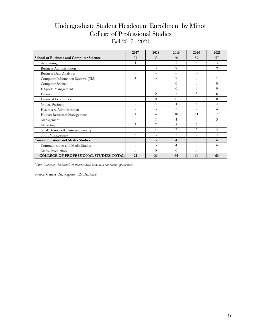#### Undergraduate Student Headcount Enrollment by Minor College of Professional Studies Fall 2017 - 2021

|                                                | 2017           | 2018         | 2019           | 2020           | 2021           |
|------------------------------------------------|----------------|--------------|----------------|----------------|----------------|
| <b>School of Business and Computer Science</b> | 21             | 33           | 60             | 59             | 57             |
| Accounting                                     |                | $\mathbf{1}$ | 1              | 4              | 3              |
| <b>Business Administration</b>                 | 5              | 3            | 9              | 8              | 9              |
| <b>Business Data Analytics</b>                 | $-$            | $ -$         | $- -$          | $-$            | $\mathbf{1}$   |
| Computer Information Systems (CIS)             | 1              | 3            | 9              | 5              |                |
| Computer Science                               | $-$            | $-$          | $\Omega$       | $\Omega$       | $\Omega$       |
| E Sports Management                            | $-$            | $-$          | $\Omega$       | $\Omega$       | $\Omega$       |
| Finance                                        | $-$            | $\Omega$     | $\mathbf{1}$   | 3              | 6              |
| Financial Economics                            | $\theta$       | $\Omega$     | $\Omega$       | $\Omega$       | $\Omega$       |
| Global Business                                | $\overline{2}$ | 4            | 4              | 4              | 4              |
| Healthcare Administration                      | $\overline{2}$ | 3            | $\overline{2}$ | $\overline{2}$ | $\overline{4}$ |
| Human Resources Management                     | $\overline{4}$ | 4            | 10             | 11             |                |
| Management                                     | $-$            | $\mathbf{1}$ | 4              | 4              | 3              |
| Marketing                                      | 3              |              | 8              | 9              | 11             |
| Small Business & Entrepreneurship              | $-$            | 4            | 7              | $\overline{2}$ | 4              |
| Sport Management                               | 3              | 3            | 5              |                | $\overline{4}$ |
| <b>Communication and Media Studies</b>         | $\theta$       | 3            | $\overline{4}$ | 5              | 6              |
| Communication and Media Studies                | $\Omega$       | 3            | 4              | 5              | 6              |
| Media Production                               | $\theta$       | $\Omega$     | $\Omega$       | $\Omega$       |                |
| <b>COLLEGE OF PROFESSIONAL STUDIES TOTAL</b>   | 21             | 36           | 64             | 64             | 63             |

*Note: Counts are duplicated, as students with more than one minor appear twice*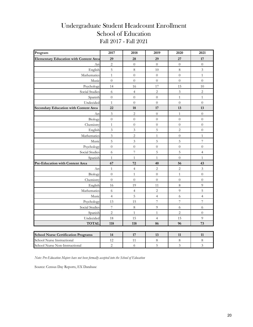#### Undergraduate Student Headcount Enrollment School of Education Fall 2017 - Fall 2021

| Program                                       | 2017                     | 2018                     | 2019             | 2020                    | 2021                     |
|-----------------------------------------------|--------------------------|--------------------------|------------------|-------------------------|--------------------------|
| <b>Elementary Education with Content Area</b> | 29                       | 28                       | 29               | 27                      | 17                       |
| Art                                           | $\sqrt{2}$               | $\boldsymbol{0}$         | $\overline{0}$   | $\overline{0}$          | $\boldsymbol{0}$         |
| English                                       | $\mathbf 5$              | $\,8\,$                  | 10               | $\,8\,$                 | $\overline{3}$           |
| Mathematics                                   | $\mathbf{1}$             | $\boldsymbol{0}$         | $\overline{0}$   | $\overline{0}$          | $\mathbf{1}$             |
| Music                                         | $\overline{0}$           | $\overline{0}$           | $\boldsymbol{0}$ | $\overline{0}$          | $\overline{0}$           |
| Psychology                                    | 14                       | 16                       | 17               | 15                      | 10                       |
| Social Studies                                | $\sqrt{6}$               | $\overline{\mathbf{4}}$  | $\overline{2}$   | $\overline{\mathbf{3}}$ | $\overline{c}$           |
| Spanish                                       | $\overline{0}$           | $\overline{0}$           | $\overline{0}$   | $\mathbf{1}$            | $\mathbf{1}$             |
| Undecided                                     | $\mathbf{1}$             | $\overline{0}$           | $\boldsymbol{0}$ | $\overline{0}$          | $\overline{0}$           |
| Secondary Education with Content Area         | 22                       | 18                       | 17               | 13                      | 13                       |
| Art                                           | $\sqrt{3}$               | 2                        | $\boldsymbol{0}$ | $\mathbf{1}$            | $\boldsymbol{0}$         |
| Biology                                       | $\boldsymbol{0}$         | $\overline{0}$           | $\overline{0}$   | $\overline{0}$          | $\overline{0}$           |
| Chemistry                                     | $\mathbf{1}$             | $\boldsymbol{0}$         | $\boldsymbol{0}$ | $\overline{0}$          | $\overline{0}$           |
| English                                       | $\overline{3}$           | 3                        | $\overline{5}$   | $\overline{c}$          | $\overline{0}$           |
| Mathematics                                   | $\overline{3}$           | $\overline{c}$           | $\,1\,$          | $\boldsymbol{0}$        | $\mathbf{1}$             |
| Music                                         | 5                        | 3                        | $\overline{5}$   | 5                       | $\overline{\mathcal{I}}$ |
| Psychology                                    | $\boldsymbol{0}$         | $\overline{0}$           | $\boldsymbol{0}$ | $\overline{0}$          | $\boldsymbol{0}$         |
| Social Studies                                | $\sqrt{6}$               | $\overline{\mathcal{I}}$ | $\mathbf 5$      | 5                       | $\overline{4}$           |
| Spanish                                       | $\mathbf{1}$             | $\mathbf{1}$             | $\,1\,$          | $\overline{0}$          | $\mathbf{1}$             |
| Pre-Education with Content Area               | 67                       | 72                       | 40               | 56                      | 43                       |
| Art                                           | $\mathbf{1}$             | $\overline{4}$           | $\overline{c}$   | $\overline{c}$          | 3                        |
| Biology                                       | $\overline{0}$           | $\mathbf{1}$             | $\boldsymbol{0}$ | $\,1$                   | $\boldsymbol{0}$         |
| Chemistry                                     | $\overline{0}$           | $\overline{0}$           | $\overline{0}$   | $\overline{0}$          | $\overline{0}$           |
| English                                       | 16                       | 19                       | 11               | 8                       | 9                        |
| Mathematics                                   | $\sqrt{6}$               | $\overline{4}$           | $\overline{2}$   | 9                       | 5                        |
| Music                                         | $\overline{4}$           | 5                        | $\overline{4}$   | 6                       | $\overline{4}$           |
| Psychology                                    | 13                       | 15                       | $\overline{7}$   | $\overline{7}$          | $\overline{7}$           |
| Social Studies                                | $\overline{\phantom{a}}$ | $\,8\,$                  | 9                | 6                       | $\sqrt{6}$               |
| Spanish                                       | $\overline{c}$           | $\mathbf{1}$             | $\mathbf{1}$     | $\overline{c}$          | $\overline{0}$           |
| Undecided                                     | 18                       | 15                       | $\overline{4}$   | 15                      | $\overline{9}$           |
| <b>TOTAL</b>                                  | 118                      | 118                      | 86               | 96                      | 73                       |
|                                               |                          |                          |                  |                         |                          |
| <b>School Nurse Certification Programs</b>    | 14                       | 17                       | 13               | 11                      | 11                       |
| School Nurse Instructional                    | 12                       | 11                       | $\,8\,$          | $\,$ 8 $\,$             | $\,8\,$                  |
| School Nurse Non-Instructional                | $\sqrt{2}$               | $\sqrt{6}$               | $\overline{5}$   | $\mathfrak{Z}$          | $\overline{3}$           |

*Note: Pre-Education Majors have not been formally accepted into the School of Education*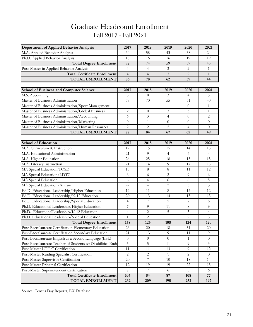## Graduate Headcount Enrollment Fall 2017 - Fall 2021

| Department of Applied Behavior Analysis                    | 2017           | 2018           | 2019           | 2020           | 2021           |
|------------------------------------------------------------|----------------|----------------|----------------|----------------|----------------|
| M.A. Applied Behavior Analysis                             | 64             | 58             | 43             | 38             | 24             |
| Ph.D. Applied Behavior Analysis                            | 18             | 16             | 16             | 19             | 19             |
| <b>Total Degree Enrollment</b>                             | 82             | 74             | 59             | 57             | 43             |
| Post-Master in Applied Behavior Analysis                   | $\overline{4}$ | 4              | 3              | $\overline{2}$ | $\mathbf{1}$   |
| <b>Total Certificate Enrollment</b>                        | $\overline{4}$ | $\overline{4}$ | $\mathfrak{Z}$ | $\overline{2}$ | $\mathbf{1}$   |
| <b>TOTAL ENROLLMENT</b>                                    | 86             | 78             | 62             | 59             | 44             |
|                                                            |                |                |                |                |                |
| <b>School of Business and Computer Science</b>             | 2017           | 2018           | 2019           | 2020           | 2021           |
| M.S. Accounting                                            | 8              | 8              | 3              | $\overline{4}$ | 5              |
| Master of Business Administration                          | 59             | 70             | 55             | 51             | 40             |
| Master of Business Administration/Sport Management         | $-$            | $-$            | $-$            | $\overline{0}$ | $\mathbf{1}$   |
| Master of Business Administration/Global Business          | 2              | $\theta$       | 3              | $\mathfrak{Z}$ | $\mathbf{1}$   |
| Master of Business Administration/Accounting               | 6              | $\mathfrak{Z}$ | $\overline{4}$ | $\theta$       | $\mathbf{2}$   |
| Master of Business Administration/Marketing                | $\theta$       | $\mathbf{1}$   | $\theta$       | 0              | $\Omega$       |
| Master of Business Administration/Human Resources          | $\overline{2}$ | $\overline{2}$ | $\overline{2}$ | $\overline{4}$ | $\Omega$       |
| <b>TOTAL ENROLLMENT</b>                                    | 77             | 84             | 67             | 62             | 49             |
|                                                            |                |                |                |                |                |
| <b>School of Education</b>                                 | 2017           | 2018           | 2019           | 2020           | 2021           |
| M.A. Curriculum & Instruction                              | 12             | 15             | 15             | 14             | 13             |
| M.A. Educational Administration                            | 21             | 9              | $\overline{4}$ | $\overline{4}$ | $\overline{4}$ |
| M.A. Higher Education                                      | 26             | 25             | 18             | 15             | 15             |
| M.A. Literacy Instruction                                  | 21             | 14             | 9              | 17             | 13             |
| MA Special Education TOSD                                  | 18             | 8              | 8              | 11             | 12             |
| MA Special Education/LDTC                                  | 6              | 6              | $\mathbf{2}$   | 9              | 6              |
| MA Special Education                                       | 6              | $\overline{4}$ | 6              | 6              | 5              |
| MA Special Education/Autism                                | --             |                | 2              | $\mathfrak{Z}$ | 3              |
| Ed.D. Educational Leadership/Higher Education              | 12             | 11             | 8              | 12             | 12             |
| Ed.D. Educational Leadership/K-12 Education                | 20             | 13             | 14             | 13             | 13             |
| Ed.D. Educational Leadership/Special Education             | $\overline{4}$ | $\overline{7}$ | 5              | $\overline{7}$ | $8\,$          |
| Ph.D. Educational Leadership/Higher Education              | $\overline{7}$ | 9              | 11             | $8\,$          | 9              |
| Ph.D. EducationalLeadership/K-12 Education                 | $\overline{4}$ | $\mathbf{2}$   | 5              | $\mathfrak{Z}$ | $\overline{4}$ |
| Ph.D. Educational Leadership/Special Education             | $\mathbf{1}$   | $\overline{2}$ | $\mathbf{1}$   | $\overline{2}$ | $\overline{3}$ |
| <b>Total Degree Enrollment</b>                             | 158            | 125            | 108            | 124            | 120            |
| Post-Baccalaureate Certification Elementary Education      | 26             | 20             | 18             | 31             | 20             |
| Post-Baccalaureate Certification Secondary Education       | 21             | 13             | 9              | 11             | 9              |
| Post-Baccalaureate English as a Second Language (ESL)      | $\theta$       | $\overline{0}$ | $\theta$       | $\mathbf{1}$   | $\theta$       |
| Post-Baccalaureate Teacher of Students w/Disabilities Endo | 5              | 5              | 11             | 9              | 3              |
| Post-Master LDT-C Certification                            | 11             | 11             | 13             | 9              | 12             |
| Post-Master Reading Specialist Certification               | $\mathbf{2}$   | $\mathbf{2}$   | $\mathbf{1}$   | $\overline{2}$ | $\overline{0}$ |
| Post-Master Supervisor Certification                       | 20             | $\overline{7}$ | 10             | 18             | 14             |
| Post-Master Principal Certification                        | 12             | 19             | 19             | 22             | 13             |
| Post-Master Superintendent Certification                   | $\overline{7}$ | 7              | 6              | 5              | 6              |
| <b>Total Certificate Enrollment</b>                        | 104            | 84             | 87             | 108            | 77             |
| TOTAL ENROLLMENT                                           | 262            | 209            | 195            | 232            | 197            |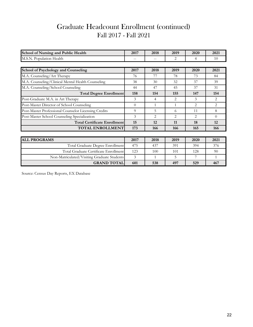## Graduate Headcount Enrollment (continued) Fall 2017 - Fall 2021

| School of Nursing and Public Health                  | 2017     | 2018           | 2019           | 2020           | 2021     |
|------------------------------------------------------|----------|----------------|----------------|----------------|----------|
| M.S.N. Population Health                             |          |                | 2              | 4              | 10       |
|                                                      |          |                |                |                |          |
| <b>School of Psychology and Counseling</b>           | 2017     | 2018           | 2019           | 2020           | 2021     |
| M.A. Counseling/Art Therapy                          | 76       | 77             | 78             | 73             | 84       |
| M.A. Counseling/Clinical Mental Health Counseling    | 38       | 30             | 32             | 37             | 39       |
| M.A. Counseling/School Counseling                    | 44       | 47             | 45             | 37             | 31       |
| <b>Total Degree Enrollment</b>                       | 158      | 154            | 155            | 147            | 154      |
| Post-Graduate M.A. in Art Therapy                    | 3        | 4              | 2              | 3              | 2        |
| Post-Master Director of School Counseling            | $\theta$ | 1              | 1              | $\overline{2}$ | 2        |
| Post-Master Professional Counselor Licensing Credits | 9        | 5              | 6              | 11             | 8        |
| Post-Master School Counseling Specialization         | 3        | $\overline{2}$ | $\overline{2}$ | $\overline{2}$ | $\Omega$ |
| <b>Total Certificate Enrollment</b>                  | 15       | 12             | 11             | 18             | 12       |
| <b>TOTAL ENROLLMENT</b>                              | 173      | 166            | 166            | 165            | 166      |
|                                                      |          |                |                |                |          |
| <b>ALL PROGRAMS</b>                                  | 2017     | 2018           | 2019           | 2020           | 2021     |
| Total Graduate Degree Enrollment                     | 475      | 437            | 391            | 394            | 376      |
| Total Graduate Certificate Enrollment                | 123      | 100            | 101            | 128            | 90       |
| Non-Matriculated/Visiting Graduate Students          | 3        | $\mathbf{1}$   | 5              | 7              | 1        |
| <b>GRAND TOTAL</b>                                   | 601      | 538            | 497            | 529            | 467      |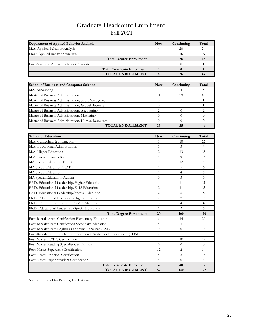## Graduate Headcount Enrollment Fall 2021

| Department of Applied Behavior Analysis            | <b>New</b>     | Continuing   | Total        |
|----------------------------------------------------|----------------|--------------|--------------|
| M.A. Applied Behavior Analysis                     | 4              | 20           | 24           |
| Ph.D. Applied Behavior Analysis                    | 3              | 16           | 19           |
| <b>Total Degree Enrollment</b>                     | 7              | 36           | 43           |
| Post-Master in Applied Behavior Analysis           |                | $\Omega$     |              |
| <b>Total Certificate Enrollment</b>                | $\mathbf{1}$   | $\mathbf{0}$ |              |
| <b>TOTAL ENROLLMENT</b>                            | 8              | 36           | 44           |
|                                                    |                |              |              |
| <b>School of Business and Computer Science</b>     | <b>New</b>     | Continuing   | Total        |
| M.S. Accounting                                    | 1              | 4            | 5            |
| Master of Business Administration                  | 11             | 29           | 40           |
| Master of Business Administration/Sport Management | $\Omega$       |              |              |
| Master of Business Administration/Global Business  | $\Omega$       |              |              |
| Master of Business Administration/Accounting       | $\overline{2}$ | $\Omega$     | 2            |
| Master of Business Administration/Marketing        | $\Omega$       | $\Omega$     | $\mathbf{0}$ |
| Master of Business Administration/Human Resources  | $\Omega$       | $\Omega$     | $\bf{0}$     |
| <b>TOTAL ENROLLMENT</b>                            | 14             | 35           | 49           |

| <b>School of Education</b>                                               | <b>New</b>     | Continuing     | Total                   |
|--------------------------------------------------------------------------|----------------|----------------|-------------------------|
| M.A. Curriculum & Instruction                                            | 3              | 10             | 13                      |
| M.A. Educational Administration                                          | $\mathbf{1}$   | 3              | $\overline{\mathbf{4}}$ |
| M.A. Higher Education                                                    | 2              | 13             | 15                      |
| M.A. Literacy Instruction                                                | $\overline{4}$ | 9              | 13                      |
| MA Special Education TOSD                                                | $\theta$       | 12             | 12                      |
| MA Special Education/LDTC                                                | $\mathbf{1}$   | 5              | 6                       |
| MA Special Education                                                     | $\mathbf{1}$   | 4              | 5                       |
| MA Special Education/Autism                                              | $\Omega$       | 3              | 3                       |
| Ed.D. Educational Leadership/Higher Education                            | 1              | 11             | 12                      |
| Ed.D. Educational Leadership/K-12 Education                              | $\overline{2}$ | 11             | 13                      |
| Ed.D. Educational Leadership/Special Education                           | $\overline{c}$ | 6              | 8                       |
| Ph.D. Educational Leadership/Higher Education                            | $\overline{2}$ |                | 9                       |
| Ph.D. Educational Leadership/K-12 Education                              | $\theta$       | 4              | 4                       |
| Ph.D. Educational Leadership/Special Education                           | $\mathbf{1}$   | $\overline{c}$ | 3                       |
| <b>Total Degree Enrollment</b>                                           | 20             | 100            | 120                     |
| Post-Baccalaureate Certification Elementary Education                    | 6              | 14             | 20                      |
| Post-Baccalaureate Certification Secondary Education                     | $\overline{4}$ | 5              | 9                       |
| Post-Baccalaureate English as a Second Language (ESL)                    | $\theta$       | $\theta$       | $\Omega$                |
| Post-Baccalaureate Teacher of Students w/Disabilities Endorsement (TOSD) | $\overline{2}$ | 1              | 3                       |
| Post-Master LDT-C Certification                                          | 2              | 10             | 12                      |
| Post-Master Reading Specialist Certification                             | $\Omega$       | $\Omega$       | $\Omega$                |
| Post-Master Supervisor Certification                                     | 12             | $\overline{c}$ | 14                      |
| Post-Master Principal Certification                                      | 5              | 8              | 13                      |
| Post-Master Superintendent Certification                                 | 6              | $\theta$       | 6                       |
| <b>Total Certificate Enrollment</b>                                      | 37             | 40             | 77                      |
| <b>TOTAL ENROLLMENT</b>                                                  | 57             | 140            | 197                     |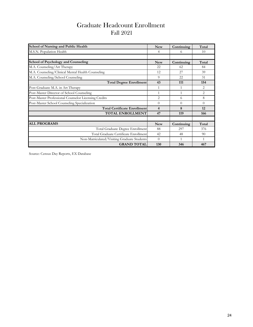## Graduate Headcount Enrollment Fall 2021

| <b>School of Nursing and Public Health</b>           | <b>New</b>     | Continuing | Total    |
|------------------------------------------------------|----------------|------------|----------|
| M.S.N. Population Health                             | 4              | 6          | 10       |
|                                                      |                |            |          |
| <b>School of Psychology and Counseling</b>           | <b>New</b>     | Continuing | Total    |
| M.A. Counseling/Art Therapy                          | 22             | 62         | 84       |
| M.A. Counseling/Clinical Mental Health Counseling    | 12             | 27         | 39       |
| M.A. Counseling/School Counseling                    | 9              | 22         | 31       |
| <b>Total Degree Enrollment</b>                       | 43             | 111        | 154      |
| Post-Graduate M.A. in Art Therapy                    | 1              | 1          | 2        |
| Post-Master Director of School Counseling            | $\mathbf{1}$   | 1          | 2        |
| Post-Master Professional Counselor Licensing Credits | $\overline{2}$ | 6          | 8        |
| Post-Master School Counseling Specialization         | $\Omega$       | $\Omega$   | $\Omega$ |
| <b>Total Certificate Enrollment</b>                  | 4              | 8          | 12       |
| <b>TOTAL ENROLLMENT</b>                              | 47             | 119        | 166      |
|                                                      |                |            |          |
| <b>ALL PROGRAMS</b>                                  | <b>New</b>     | Continuing | Total    |
| Total Graduate Degree Enrollment                     | 88             | 297        | 376      |
| Total Graduate Certificate Enrollment                | 42             | 48         | 90       |
| Non-Matriculated/Visiting Graduate Students          | $\Omega$       |            | 1        |
| <b>GRAND TOTAL</b>                                   | 130            | 346        | 467      |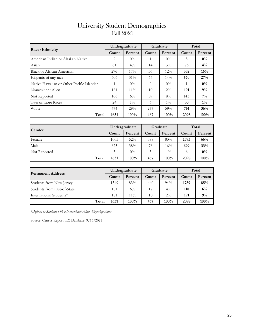| <b>University Student Demographics</b> |
|----------------------------------------|
| <b>Fall 2021</b>                       |

|                                           | Undergraduate<br>Percent<br>Count |        | Graduate |         |      | Total   |
|-------------------------------------------|-----------------------------------|--------|----------|---------|------|---------|
| Race/Ethnicity                            |                                   |        | Count    | Percent |      | Percent |
| American Indian or Alaskan Native         | 2                                 | $0\%$  |          | $0\%$   | 3    | $0\%$   |
| Asian                                     | 61                                | $4\%$  | 14       | $3\%$   | 75   | $4\%$   |
| <b>Black or African American</b>          | 276                               | $17\%$ | 56       | $12\%$  | 332  | 16%     |
| Hispanic of any race                      | 506                               | $31\%$ | 64       | $14\%$  | 570  | 27%     |
| Native Hawaiian or Other Pacific Islander |                                   | $0\%$  | $\theta$ | $0\%$   | 1    | $0\%$   |
| Nonresident Alien                         | 181                               | $11\%$ | 10       | $2\%$   | 191  | $9\%$   |
| Not Reported                              | 106                               | $6\%$  | 39       | $8\%$   | 145  | $7\%$   |
| Two or more Races                         | 24                                | $1\%$  | 6        | $1\%$   | 30   | $1\%$   |
| White                                     | 474                               | 29%    | 277      | 59%     | 751  | 36%     |
| Total                                     | 1631                              | 100%   | 467      | $100\%$ | 2098 | 100%    |

| Gender       | Undergraduate |         | Graduate |         | Total |         |
|--------------|---------------|---------|----------|---------|-------|---------|
|              | Count         | Percent | Count    | Percent | Count | Percent |
| Female       | 1005          | 62%     | 388      | 83%     | 1393  | 66%     |
| Male         | 623           | 38%     | 76       | 16%     | 699   | 33%     |
| Not Reported | 3             | $0\%$   | 3        | $1\%$   | 6     | $0\%$   |
| Total        | 1631          | 100%    | 467      | $100\%$ | 2098  | 100%    |

| <b>Permanent Address</b>   |       | Undergraduate |       | Graduate | Total |         |
|----------------------------|-------|---------------|-------|----------|-------|---------|
|                            | Count | Percent       | Count | Percent  | Count | Percent |
| Students from New Jersey   | 1349  | 83%           | 440   | $94\%$   | 1789  | 85%     |
| Students from Out-of-State | 101   | $6\%$         | 17    | $4\%$    | 118   | 6%      |
| International Students*    | 181   | $11\%$        | 10    | $2\%$    | 191   | 9%      |
| Total                      | 1631  | $100\%$       | 467   | 100%     | 2098  | 100%    |

*\*Defined as Students with a Nonresident Alien citizenship status*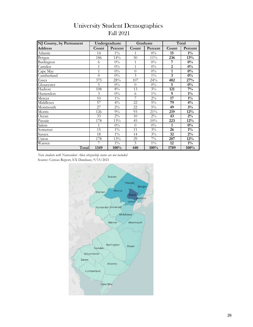| <b>University Student Demographics</b> |
|----------------------------------------|
| <b>Fall 2021</b>                       |

| NJ County, by Permanent |                | Undergraduate    |                | Graduate |                 | Total   |
|-------------------------|----------------|------------------|----------------|----------|-----------------|---------|
| <b>Address</b>          | Count          | Percent          | Count          | Percent  | Count           | Percent |
| Atlantic                | 14             | $1\%$            |                | $0\%$    | 15              | $1\%$   |
| Bergen                  | 186            | 14%              | 50             | $11\%$   | 236             | 13%     |
| Burlington              | 6              | $0\%$            | 1              | $0\%$    | 7               | $0\%$   |
| Camden                  | $\mathbf{1}$   | $0\%$            | $\mathbf{1}$   | $0\%$    | $\overline{2}$  | $0\%$   |
| Cape May                | $\mathbf{1}$   | $0\%$            | $\overline{0}$ | $0\%$    | 1               | $0\%$   |
| Cumberland              | $\overline{0}$ | $0\%$            | 3              | $1\%$    | 3               | $0\%$   |
| Essex                   | 375            | 28%              | 107            | 24%      | 482             | 27%     |
| Gloucester              | 5              | $0\%$            | $\theta$       | $0\%$    | 5               | $0\%$   |
| Hudson                  | 108            | $8\%$            | 13             | $3\%$    | 121             | $7\%$   |
| Hunterdon               | 3              | $0\%$            | 6              | $1\%$    | 9               | $1\%$   |
| Mercer                  | 10             | $1\%$            | 7              | $2\%$    | $\overline{17}$ | $1\%$   |
| Middlesex               | 57             | $4\%$            | 22             | $5\%$    | 79              | $4\%$   |
| Monmouth                | 27             | $\overline{2}\%$ | 22             | $5\%$    | 49              | $3\%$   |
| Morris                  | 126            | $9\%$            | 93             | 21%      | 219             | 12%     |
| Ocean                   | 33             | $2\%$            | 10             | $2\%$    | 43              | $2\%$   |
| Passaic                 | 178            | 13%              | 45             | 10%      | 223             | $12\%$  |
| Salem                   | 1              | $0\%$            | $\theta$       | $0\%$    | $\mathbf{1}$    | $0\%$   |
| Somerset                | 15             | $1\%$            | 11             | $3\%$    | 26              | $1\%$   |
| Sussex                  | 18             | $1\%$            | 14             | $3\%$    | 32              | $2\%$   |
| Union                   | 178            | 13%              | 29             | $7\%$    | 207             | 12%     |
| Warren                  | 7              | $1\%$            | 5              | $1\%$    | 12              | $1\%$   |
| Total                   | 1349           | 100%             | 440            | 100%     | 1789            | 100%    |

Source: Census Report, EX Database, 9/15/2021 *Note students with Nonresident Alien citizenship status are not included*

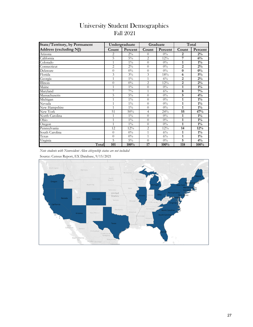| <b>State/Territory</b> , by Permanent |                | Undergraduate |                | Graduate |                | Total   |
|---------------------------------------|----------------|---------------|----------------|----------|----------------|---------|
| Address (excluding NJ)                | Count          | Percent       | Count          | Percent  | Count          | Percent |
| Arizona                               | 2              | $2\%$         | $\overline{0}$ | $0\%$    | 2              | $2\%$   |
| California                            | 5              | $5\%$         | 2              | 12%      | 7              | 6%      |
| Colorado                              | $\mathbf{1}$   | $1\%$         | $\overline{0}$ | $0\%$    | 1              | $1\%$   |
| Connecticut                           | $\overline{2}$ | $2\%$         | $\overline{0}$ | $0\%$    | $\overline{2}$ | $2\%$   |
| Delaware                              | $\overline{0}$ | $0\%$         | $\overline{0}$ | $0\%$    | $\bf{0}$       | $0\%$   |
| Florida                               | 3              | $3\%$         | 3              | 18%      | 6              | $5\%$   |
| Georgia                               | $\mathbf{1}$   | $1\%$         | 1              | $6\%$    | $\overline{2}$ | $2\%$   |
| <b>Illinois</b>                       | $\overline{0}$ | $0\%$         | 2              | 12%      | $\overline{2}$ | $2\%$   |
| Maine                                 | $\mathbf{1}$   | $1\%$         | $\overline{0}$ | $0\%$    | 1              | $1\%$   |
| Maryland                              | 7              | $7\%$         | $\mathbf{1}$   | $6\%$    | 8              | $7\%$   |
| Massachusetts                         | 5              | $5\%$         | $\overline{0}$ | $0\%$    | 5              | $4\%$   |
| Michigan                              | $\mathbf{1}$   | $1\%$         | $\overline{0}$ | $0\%$    | $\mathbf{1}$   | $1\%$   |
| Nevada                                | $\mathbf{1}$   | $1\%$         | $\overline{0}$ | $0\%$    | $\mathbf{1}$   | $1\%$   |
| New Hampshire                         | $\mathbf{1}$   | $1\%$         | $\overline{0}$ | $0\%$    | $\mathbf{1}$   | $1\%$   |
| New York                              | 51             | 50%           | $\overline{4}$ | 24%      | 55             | 47%     |
| North Carolina                        | $\mathbf{1}$   | $1\%$         | $\overline{0}$ | $0\%$    | 1              | $1\%$   |
| Ohio                                  | $\mathbf{1}$   | $1\%$         | $\overline{0}$ | $0\%$    | 1              | $1\%$   |
| Oregon                                | $\mathbf{1}$   | $1\%$         | $\overline{0}$ | $0\%$    | 1              | $1\%$   |
| Pennsylvania                          | 12             | 12%           | $\overline{c}$ | 12%      | 14             | 12%     |
| South Carolina                        | $\overline{0}$ | $0\%$         | $\mathbf{1}$   | $6\%$    | 1              | $1\%$   |
| Texas                                 | $\overline{0}$ | $0\%$         | 1              | $6\%$    | $\mathbf{1}$   | $1\%$   |
| Virginia                              | 5              | $5\%$         | $\overline{0}$ | $0\%$    | 5              | $4\%$   |
| Total                                 | 101            | 100%          | 17             | 100%     | 118            | 100%    |

#### University Student Demographics Fall 2021

*Note students with Nonresident Alien citizenship status are not included*

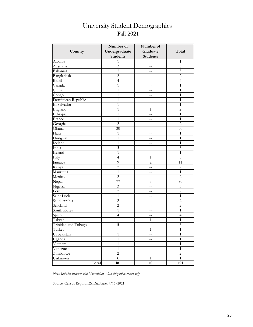## Fall 2021 University Student Demographics

|                     | Number of               | Number of                |                |
|---------------------|-------------------------|--------------------------|----------------|
| Country             | Undergraduate           | Graduate                 | Total          |
|                     | <b>Students</b>         | <b>Students</b>          |                |
| Albania             | $\mathbf{1}$            | $-$                      | 1              |
| Australia           | 3                       | $- -$                    | 3              |
| Bahamas             | $\overline{\mathbf{3}}$ | $\frac{1}{2}$            | 3              |
| Bangladesh          | $\overline{2}$          | $-$                      | $\overline{2}$ |
| Brazil              | $\overline{4}$          | $\overline{a}$           | $\overline{4}$ |
| Canada              | $\mathbf{1}$            | $-$                      | $\mathbf{1}$   |
| China               | $\mathbf{1}$            | $-$                      | $\mathbf{1}$   |
| Congo               | $\mathbf{1}$            | $-$                      | $\mathbf{1}$   |
| Dominican Republic  | $\mathbf{1}$            | $\overline{a}$           | $\mathbf{1}$   |
| El Salvador         | $\mathbf{1}$            | $\qquad \qquad -$        | $\mathbf{1}$   |
| England             | 1                       | 1                        | $\overline{c}$ |
| Ethiopia            | 1                       | $- -$                    | 1              |
| France              | 1                       | $\qquad \qquad -$        | 1              |
| Georgia             | $\overline{2}$          | $-$                      | $\overline{2}$ |
| Ghana               | 30                      | $-$                      | 30             |
| Haiti               | 1                       |                          | $\mathbf{1}$   |
| Hungary             | $\mathbf{1}$            | $-$                      | $\mathbf{1}$   |
| Iceland             | $\mathbf{1}$            | $-$                      | $\mathbf{1}$   |
| India               | 3                       | $\sim$ $-$               | 3              |
| Ireland             | $\mathbf{1}$            | $\qquad \qquad -$        | $\mathbf{1}$   |
| Italy               | $\overline{4}$          | $\mathbf{1}$             | $\overline{5}$ |
| Jamaica             | 9                       | $\overline{2}$           | 11             |
| Kenya               | $\overline{c}$          | $-$                      | $\sqrt{2}$     |
| Mauritius           | $\mathbf{1}$            |                          | $\mathbf{1}$   |
| Mexico              | $\overline{c}$          | $-$                      | $\overline{2}$ |
| Nepal               | 77                      | 3                        | 80             |
| Nigeria             | $\mathfrak{Z}$          | $\overline{\phantom{m}}$ | 3              |
| Peru                | $\overline{2}$          | $\qquad \qquad -$        | $\overline{2}$ |
| Saint Lucia         | $\mathbf{1}$            | $\qquad \qquad -$        | 1              |
| Saudi Arabia        | $\overline{c}$          | $-$                      | $\overline{c}$ |
| Scotland            | $\overline{c}$          | $-$                      | $\overline{c}$ |
| South Korea         | $\mathbf{1}$            |                          | 1              |
| Spain               | $\overline{4}$          | $-$                      | $\overline{4}$ |
| Taiwan              | $\overline{a}$          | 1                        | 1              |
| Trinidad and Tobago | 5                       | $-$                      | 5              |
| Turkey              | $\qquad \qquad -$       | $\mathbf{1}$             | $\overline{1}$ |
| Uzbekistan          | $\mathbf{1}$            | $\qquad \qquad -$        | $\mathbf{1}$   |
| Uganda              | $\mathbf{1}$            | $\qquad \qquad -$        | $\mathbf{1}$   |
| Vietnam             | $\mathbf{1}$            | --                       | $\mathbf{1}$   |
| Venezuela           | $\mathbf{1}$            | $\overline{\phantom{a}}$ | $\,1\,$        |
| Zimbabwe            | $\overline{c}$          | $\overline{\phantom{a}}$ | $\overline{c}$ |
| Unknown             | $\boldsymbol{0}$        | $\,1$                    | $\mathbf{1}$   |
| Total               | 181                     | 10                       | 191            |

*Note: Includes students with Nonresident Alien citizenship status only*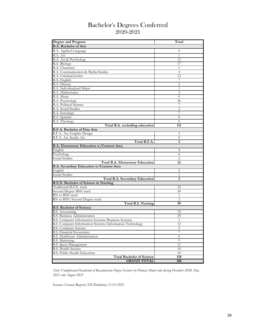#### Bachelor's Degrees Conferred 2020-2021

| Degree and Program                                       | Total          |
|----------------------------------------------------------|----------------|
| <b>B.A. Bachelor of Arts</b>                             |                |
| B.A. Applied Language                                    | $\theta$       |
| B.A. Art                                                 | 1              |
| B.A. Art & Psychology                                    | 12             |
| <b>B.A. Biology</b>                                      | 17             |
| B.A. Chemistry                                           | 1              |
| B.A. Communication & Media Studies                       | 4              |
| B.A. Criminal Justice                                    | 12             |
| B.A. English                                             |                |
| <b>B.A. History</b>                                      | 2              |
| B.A. Individualized Major                                | 1              |
| B.A. Mathematics                                         | 2              |
| B.A. Music                                               | $\theta$       |
| <b>B.A. Psychology</b>                                   | 36             |
| <b>B.A. Political Science</b>                            | 7              |
| <b>B.A. Social Studies</b>                               | 2              |
| <b>B.A.</b> Sociology                                    |                |
| B.A. Spanish                                             | $\overline{0}$ |
| <b>B.A. Theology</b>                                     | $\theta$       |
| Total B.A. excluding education                           | 111            |
| <b>B.F.A. Bachelor of Fine Arts</b>                      |                |
| B.F.A. Art, Graphic Design                               | 3              |
| B.F.A. Art, Studio Art                                   | $\theta$       |
| Total B.F.A.                                             | 3              |
| <b>B.A. Elementary Education w/Content Area</b>          |                |
| English                                                  | 4              |
| Psychology                                               | 6              |
| Social Studies                                           | 2              |
| Total B.A. Elementary Education                          | 12             |
| <b>B.A. Secondary Education w/Content Area</b>           |                |
| English                                                  | 2              |
| Social Studies                                           | 1              |
| <b>Total B.A. Secondary Education</b>                    | 3              |
| B.S.N. Bachelor of Science in Nursing                    |                |
| Traditional B.S.N. track                                 | 32             |
| Second Degree BSN track                                  | 24             |
| RN to BSN track                                          | 1              |
| RN to BSN/Second Degree track                            | 2              |
| <b>Total B.S. Nursing</b>                                | 59             |
| <b>B.S. Bachelor of Science</b>                          |                |
| B.S. Accounting                                          | 18             |
| <b>B.S. Business Administration</b>                      | 29             |
| B.S. Computer Information Systems/Business Systems       | 1              |
| B.S. Computer Information Systems/Information Technology | 12             |
| <b>B.S. Computer Science</b>                             | 5              |
| <b>B.S. Financial Economics</b>                          | 7              |
| <b>B.S. Healthcare Administration</b>                    | 6              |
| <b>B.S. Marketing</b>                                    | 9              |
| <b>B.S. Sport Management</b>                             | 11             |
| <b>B.S. Health Science</b>                               | 10             |
| <b>B.S. Public Health Education</b>                      | 10             |
| <b>Total Bachelor of Science</b>                         | 118            |
| <b>GRAND TOTAL</b>                                       | 306            |

*Note: Unduplicated Headcount of Baccalaureate Degree Earners by Primary Major only during December 2020, May 2021 and August 2021*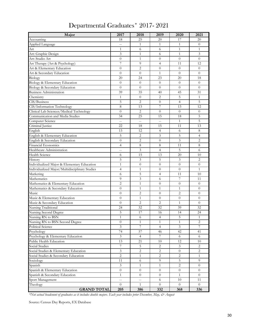| Major                                          | 2017           | 2018             | 2019                     | 2020           | 2021           |
|------------------------------------------------|----------------|------------------|--------------------------|----------------|----------------|
| Accounting                                     | 18             | 25               | 20                       | 17             | 20             |
| Applied Language                               | $\overline{a}$ | $\mathbf{1}$     | $\mathbf{1}$             | $\mathbf{1}$   | $\overline{0}$ |
| Art                                            | $\mathbf{1}$   | 6                | 6                        | $\mathbf{1}$   | $\mathbf{1}$   |
| Art: Graphic Design                            | 3              | $\mathbf{1}$     | 6                        | $\mathbf{1}$   | 3              |
| Art: Studio Art                                | $\overline{0}$ | $\mathbf{1}$     | $\overline{0}$           | $\overline{0}$ | $\theta$       |
| Art Therapy (Art & Psychology)                 | $\overline{7}$ | 9                | $\overline{4}$           | 11             | 12             |
| Art & Elementary Education                     | $\overline{0}$ | $\overline{2}$   | $\overline{0}$           | $\theta$       | $\theta$       |
| Art & Secondary Education                      | $\overline{0}$ | $\overline{0}$   | $\mathbf{1}$             | $\theta$       | $\theta$       |
| Biology                                        | 20             | 24               | 23                       | 20             | 18             |
| Biology & Elementary Education                 | $\overline{0}$ | $\overline{0}$   | $\overline{0}$           | $\theta$       | $\overline{0}$ |
| Biology & Secondary Education                  | $\overline{0}$ | $\overline{0}$   | $\theta$                 | $\theta$       | $\overline{0}$ |
| <b>Business Administration</b>                 | 39             | 35               | 40                       | 45             | 31             |
| Chemistry                                      | $\mathbf{1}$   | $\overline{0}$   | $\overline{2}$           | 5              | 1              |
| CIS/Business                                   | 5              | $\overline{2}$   | $\overline{0}$           | $\overline{4}$ | $\overline{5}$ |
| CIS/Information Technology                     | 8              | 13               | $\overline{7}$           | 13             | 12             |
| Clinical Lab Sciences/Medical Technology       | $\overline{0}$ | $\overline{2}$   | $\overline{0}$           | $\theta$       | $\theta$       |
| Communication and Media Studies                | 34             | 25               | 15                       | 18             | 5              |
| Computer Science                               | $\overline{a}$ | $-$              | $\overline{a}$           | $\mathbf{1}$   | 5              |
| Criminal Justice                               | 22             | 18               | 15                       | 11             | 13             |
| English                                        | 13             | 12               | $\overline{4}$           | 6              | 8              |
| English & Elementary Education                 | 5              | 2                | 3                        | 5              | $\overline{4}$ |
| English & Secondary Education                  | $\overline{0}$ | $\overline{2}$   | $\theta$                 | 3              | $\overline{2}$ |
| <b>Financial Economics</b>                     | 4              | 8                | 8                        | 11             | 8              |
| Healthcare Administration                      | $\overline{a}$ | $\mathfrak{Z}$   | $\overline{4}$           | 5              | 6              |
| <b>Health Science</b>                          | 6              | 15               | 13                       | 20             | 10             |
| History                                        | 5              | $\mathfrak{Z}$   | 5                        | 3              | 2              |
| Individualized Major & Elementary Education    | $\mathbf{1}$   | $\overline{0}$   | $\theta$                 | $\overline{0}$ | $\theta$       |
| Individualized Major/Multidisciplinary Studies | 4              | $\mathbf{1}$     | $\theta$                 | $\theta$       | $\mathbf{1}$   |
| Marketing                                      | 6              | 5                | 4                        | 11             | 10             |
| Mathematics                                    | 9              | $\mathfrak{Z}$   | 6                        | $\overline{7}$ | 11             |
| Mathematics & Elementary Education             | $\overline{2}$ | $\mathbf{1}$     | $\overline{0}$           | $\theta$       | $\theta$       |
| Mathematics & Secondary Education              | $\overline{0}$ | $\mathbf{1}$     | $\mathbf{1}$             | $\mathbf{1}$   | $\overline{0}$ |
| Music                                          | $\overline{0}$ | 2                | $\overline{0}$           | 2              | $\theta$       |
| Music & Elementary Education                   | $\overline{0}$ | $\mathbf{1}$     | $\overline{0}$           | $\overline{0}$ | $\theta$       |
| Music & Secondary Education                    | $\overline{0}$ | $\overline{2}$   | $\overline{c}$           | $\mathbf{1}$   | $\overline{0}$ |
| Nursing Traditional                            | 24             | 32               | 32                       | 39             | 32             |
| Nursing Second Degree                          | 5              | 17               | 16                       | 14             | 24             |
| Nursing RN to BSN                              | $\,1$          | $\sqrt{6}$       | $\overline{\mathcal{A}}$ | $\overline{5}$ | $1\,$          |
| Nursing RN to BSN Second Degree                | $\overline{0}$ | $\mathbf{1}$     | $\mathbf{1}$             | $\mathbf{1}$   | 2              |
| Political Science                              | 3              | 7                | $\overline{4}$           | 3              | 7              |
| Psychology                                     | 74             | 57               | 46                       | 42             | 41             |
| Psychology & Elementary Education              | 3              | 4                | 7                        | 6              | 6              |
| Public Health Education                        | 13             | 21               | 10                       | 12             | 10             |
| Social Studies                                 | 7              | 5                | 2                        | 3              | $\overline{2}$ |
| Social Studies & Elementary Education          | $\mathfrak{Z}$ | $\overline{c}$   | 2                        | $\overline{0}$ | 2              |
| Social Studies & Secondary Education           | $\overline{c}$ | 1                | $\overline{c}$           | 2              | 1              |
| Sociology                                      | 11             | 6                | 9                        | 5              | 9              |
| Spanish                                        | 3              | 1                | 1                        | 2              | $\theta$       |
| Spanish & Elementary Education                 | $\overline{0}$ | $\boldsymbol{0}$ | $\boldsymbol{0}$         | $\overline{0}$ | $\overline{0}$ |
| Spanish & Secondary Education                  | $\mathbf{1}$   | $\boldsymbol{0}$ | $\overline{0}$           | $\mathbf{1}$   | $\overline{0}$ |
| Sport Management                               | $\overline{a}$ | $-$              | 6                        | 10             | 11             |
| Theology                                       | $\overline{0}$ | $\mathbf{1}$     | $\overline{0}$           | $\overline{0}$ | $\Omega$       |
| <b>GRAND TOTAL</b>                             | 205            | 386              | 332                      | 368            | 336            |

## Departmental Graduates\* 2017- 2021

*\*Not actual headcount of graduates as it includes double majors. Each year includes prior December, May, & August*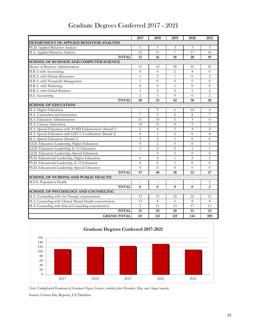|                                                            | 2017           | 2018           | 2019           | 2020           | 2021           |
|------------------------------------------------------------|----------------|----------------|----------------|----------------|----------------|
| <b>DEPARTMENT OF APPLIED BEHAVIOR ANALYSIS</b>             |                |                |                |                |                |
| Ph.D. Applied Behavior Analysis                            | 1              | 5              | 3              | 3              | 3              |
| M.A. Applied Behavior Analysis                             | 12             | 11             | 7              | 17             | 16             |
| <b>TOTAL</b>                                               | 13             | 16             | 10             | 20             | 19             |
| <b>SCHOOL OF BUSINESS AND COMPUTER SCIENCE</b>             |                |                |                |                |                |
| Master of Business Administration                          | 11             | 12             | 29             | 25             | 22             |
| M.B.A with Accounting                                      | $\overline{4}$ | $\overline{4}$ | $\overline{2}$ | $\overline{4}$ | $\Omega$       |
| M.B.A. with Human Resources                                | $\mathbf{1}$   | $\overline{c}$ | $\mathbf{1}$   | $\Omega$       | 2              |
| M.B.A. with Nonprofit Management                           | $\mathbf{1}$   | $\Omega$       | $\theta$       | $\theta$       | $\theta$       |
| M.B.A. with Marketing                                      | $\Omega$       | 0              | $\mathbf{1}$   | $\Omega$       | $\Omega$       |
| M.B.A. with Global Business                                | $\mathbf{1}$   | $\overline{c}$ | $\Omega$       | 1              | $\overline{2}$ |
| M.S. Accounting                                            | $\overline{c}$ | 3              | 9              | $\Omega$       | 2              |
| <b>TOTAL</b>                                               | 20             | 23             | 42             | 30             | 28             |
| <b>SCHOOL OF EDUCATION</b>                                 |                |                |                |                |                |
| M.A. Higher Education                                      | $-$            | 9              | 6              | 10             | $\overline{4}$ |
| M.A. Curriculum and Instruction                            | 7              | 3              | 6              | 8              | 7              |
| M.A. Education Administration                              | 11             | 10             | 5              | 3              | $\theta$       |
| M.A. Literacy Instruction                                  | 14             | 11             | $\overline{4}$ | 5              | 3              |
| M.A. Special Education with TOSD Endorsement (Strand 1)    | 6              | $\overline{4}$ | 3              | $\overline{4}$ | $\overline{4}$ |
| M.A. Special Education with LDT-C Certification (Strand 2) | 4              | $\mathbf{1}$   | 6              | $\Omega$       | 4              |
| M.A. Special Education (Strand 3)                          | 3              | $\overline{2}$ | $\mathbf{1}$   | $\Omega$       | $\theta$       |
| Ed.D. Education Leadership, Higher Education               | $\Omega$       | $\overline{2}$ | $\Omega$       | $\theta$       | $\mathbf{1}$   |
| Ed.D. Education Leadership, K-12 Education                 | $\overline{2}$ | $\overline{2}$ | $\overline{2}$ | 1              | $\mathbf{1}$   |
| Ed.D. Education Leadership, Special Education              | $-$            | $\overline{4}$ | 3              | $\Omega$       | $\Omega$       |
| Ph.D. Educational Leadership, Higher Education             | $\Omega$       | $\Omega$       | $\mathbf{1}$   | $\overline{2}$ | 3              |
| Ph.D. Educational Leadership, K-12 Education               | $\Omega$       | $\Omega$       | $\mathbf{1}$   | $\theta$       | $\Omega$       |
| Ph.D. Educational Leadership, Special Education            | $\Omega$       | $\Omega$       | $\Omega$       | $\Omega$       | $\Omega$       |
| <b>TOTAL</b>                                               | 47             | 48             | 38             | 33             | 27             |
| <b>SCHOOL OF NURSING AND PUBLIC HEALTH</b>                 |                |                |                |                |                |
| M.S.N. Population Health                                   | $-$            | $-$            | $-$            | $\overline{a}$ | $\overline{2}$ |

#### Graduate Degrees Conferred 2017 - 2021



M.A. Counseling with Art Therapy concentration 13 15 16 26 26 M.A. Counseling with Clinical Mental Health concentration 13 8688 M.A. Counseling with School Counseling concentration 5 11 13 17 13

**TOTAL** 0 0 0 0 0 2

**TOTAL 31 34 35 51 33**

**GRAND TOTAL** 111 121 125 134 109

*Note: Unduplicated Headcount of Graduate Degree Earners, includes prior December, May, and August awards.*

Source: Census Day Reports, EX Database

**SCHOOL OF PSYCHOLOGY AND COUNSELING**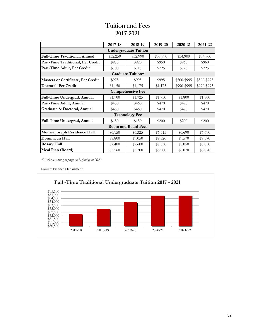#### Tuition and Fees 2017-2021

|                                                                                                                                                                                                                                                                                                                                                                                                                                                                                                                                                                                           | 2017-18  | 2018-19                      | 2019-20  | 2020-21  | 2021-22     |  |
|-------------------------------------------------------------------------------------------------------------------------------------------------------------------------------------------------------------------------------------------------------------------------------------------------------------------------------------------------------------------------------------------------------------------------------------------------------------------------------------------------------------------------------------------------------------------------------------------|----------|------------------------------|----------|----------|-------------|--|
|                                                                                                                                                                                                                                                                                                                                                                                                                                                                                                                                                                                           |          | <b>Undergraduate Tuition</b> |          |          |             |  |
| Full-Time Traditional, Annual                                                                                                                                                                                                                                                                                                                                                                                                                                                                                                                                                             | \$32,250 | \$32,990                     | \$33,990 | \$34,900 | \$34,900    |  |
| Part-Time Traditional, Per Credit                                                                                                                                                                                                                                                                                                                                                                                                                                                                                                                                                         | \$975    | \$920                        | \$950    | \$960    | \$960       |  |
| Part-Time Adult, Per Credit                                                                                                                                                                                                                                                                                                                                                                                                                                                                                                                                                               | \$700    | \$715                        | \$725    | \$725    | \$725       |  |
| Graduate Tuition*<br>\$500-\$995<br><b>Masters or Certificate, Per Credit</b><br>\$995<br>\$975<br>\$995<br>\$990-\$995<br>Doctoral, Per Credit<br>\$1,150<br>\$1,175<br>\$1,175<br><b>Comprehensive Fee</b><br>Full-Time Undergrad, Annual<br>\$1,725<br>\$1,800<br>\$1,800<br>\$1,700<br>\$1,750<br>Part-Time Adult, Annual<br>\$470<br>\$470<br>\$470<br>\$450<br>\$460<br>Graduate & Doctoral, Annual<br>\$470<br>\$450<br>\$460<br>\$470<br>\$470<br><b>Technology Fee</b><br>Full-Time Undergrad, Annual<br>\$150<br>\$200<br>\$200<br>\$150<br>\$200<br><b>Room and Board Fees</b> |          |                              |          |          |             |  |
|                                                                                                                                                                                                                                                                                                                                                                                                                                                                                                                                                                                           |          |                              |          |          | \$500-\$995 |  |
|                                                                                                                                                                                                                                                                                                                                                                                                                                                                                                                                                                                           |          |                              |          |          | \$990-\$995 |  |
|                                                                                                                                                                                                                                                                                                                                                                                                                                                                                                                                                                                           |          |                              |          |          |             |  |
|                                                                                                                                                                                                                                                                                                                                                                                                                                                                                                                                                                                           |          |                              |          |          |             |  |
|                                                                                                                                                                                                                                                                                                                                                                                                                                                                                                                                                                                           |          |                              |          |          |             |  |
|                                                                                                                                                                                                                                                                                                                                                                                                                                                                                                                                                                                           |          |                              |          |          |             |  |
|                                                                                                                                                                                                                                                                                                                                                                                                                                                                                                                                                                                           |          |                              |          |          |             |  |
|                                                                                                                                                                                                                                                                                                                                                                                                                                                                                                                                                                                           |          |                              |          |          |             |  |
|                                                                                                                                                                                                                                                                                                                                                                                                                                                                                                                                                                                           |          |                              |          |          |             |  |
| Mother Joseph Residence Hall                                                                                                                                                                                                                                                                                                                                                                                                                                                                                                                                                              | \$6,150  | \$6,325                      | \$6,515  | \$6,690  | \$6,690     |  |
| Dominican Hall                                                                                                                                                                                                                                                                                                                                                                                                                                                                                                                                                                            | \$8,800  | \$9,050                      | \$9,320  | \$9,570  | \$9,570     |  |
| <b>Rosary Hall</b>                                                                                                                                                                                                                                                                                                                                                                                                                                                                                                                                                                        | \$7,400  | \$7,600                      | \$7,830  | \$8,050  | \$8,050     |  |
| Meal Plan (Board)                                                                                                                                                                                                                                                                                                                                                                                                                                                                                                                                                                         | \$5,560  | \$5,700                      | \$5,900  | \$6,070  | \$6,070     |  |

*\*Varies according to program beginning in 2020*

Source: Finance Department

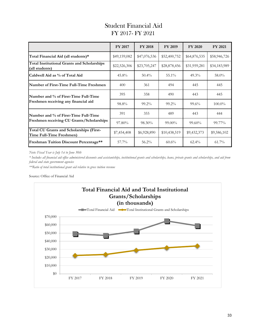#### Student Financial Aid FY 2017- FY 2021

|                                                                      | <b>FY 2017</b> | <b>FY 2018</b> | FY 2019      | <b>FY 2020</b>                                          | FY 2021      |
|----------------------------------------------------------------------|----------------|----------------|--------------|---------------------------------------------------------|--------------|
| Total Financial Aid (all students)*                                  | \$49,159,082   | \$47,076,536   | \$52,400,752 | \$64,876,535                                            | \$58,946,726 |
| <b>Total Institutional Grants and Scholarships</b><br>(all students) | \$22,526,306   | \$23,705,247   | \$28,878,456 | \$31,959,281                                            | \$34,183,989 |
| Caldwell Aid as % of Total Aid                                       | $45.8\%$       | $50.4\%$       | 55.1%        | $49.3\%$                                                | 58.0%        |
| Number of First-Time Full-Time Freshmen                              | 400            | 361            | 494          | 445                                                     | 445          |
| Number and % of First-Time Full-Time                                 | 395            | 358            | 490          | 443                                                     | 445          |
| Freshmen receiving any financial aid                                 | 98.8%          | $99.2\%$       | 99.2%        | $99.6\%$<br>443<br>$99.60\%$<br>\$9,432,373<br>$62.4\%$ | $100.0\%$    |
| Number and % of First-Time Full-Time                                 | 391            | 355            | 489          |                                                         | 444          |
| Freshmen receiving CU Grants/Scholarships                            | 97.80%         | 98.30%         | 99.00%       |                                                         | 99.77%       |
| Total CU Grants and Scholarships (First-<br>Time Full-Time Freshmen) | \$7,454,408    | \$6,928,890    | \$10,438,519 |                                                         | \$9,586,102  |
| Freshman Tuition Discount Percentage**                               | $57.7\%$       | $56.2\%$       | $60.6\%$     |                                                         | $61.7\%$     |

*Note: Fiscal Year is July 1st to June 30th*

*\* Includes all financial aid office administered discounts and assistantships, institutional grants and scholarships, loans, private grants and scholarships, and aid from federal and state government agencies*

*\*\*Ratio of total institutional grant aid relative to gross tuition revenue*

#### Source: Office of Financial Aid

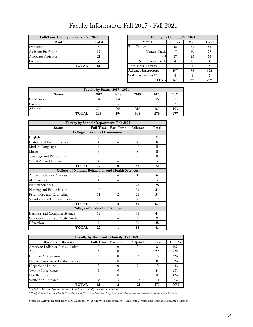## Faculty Information Fall 2017 - Fall 2021

| Full-Time Faculty by Rank, Fall 2021 |       |                          | Faculty by Gender, Fall 2021 |     |
|--------------------------------------|-------|--------------------------|------------------------------|-----|
| Rank                                 | Total | <b>Status</b>            | Female                       | Mal |
| Instructor                           |       | Full-Time*               | 48                           | 33  |
| Assistant Professor                  | 19    | Tenure-Track             | 17                           | 10  |
| Associate Professor                  | 21    | Tenured                  | 27                           | 23  |
| Professor                            | 36    | Non Tenure-Track         |                              |     |
| <b>TOTAL</b>                         | 81    | <b>Part-Time Faculty</b> |                              |     |

| Full-Time Faculty by Rank, Fall 2021 |                        | Faculty by Gender, Fall 2021 |                |     |       |
|--------------------------------------|------------------------|------------------------------|----------------|-----|-------|
| Rank                                 | Total<br><b>Status</b> |                              | Male<br>Female |     | Total |
| Instructor                           |                        | Full-Time*                   | 48             | 33  | 81    |
| Assistant Professor                  | 19                     | Tenure-Track                 | 17             | 10  | 27    |
| Associate Professor                  | 21                     | Tenured                      | 27             | 23  | 50    |
| Professor                            | 36                     | Non Tenure-Track             |                |     |       |
| <b>TOTAL</b>                         | 81                     | <b>Part-Time Faculty</b>     | ↑              |     |       |
|                                      |                        | <b>Adjunct Instructors</b>   | 107            | 86  | 193   |
|                                      |                        | Staff Instructors**          | 4              |     |       |
|                                      |                        | <b>TOTAL</b>                 | 161            | 121 | 282   |

| Faculty by Status, 2017 - 2021                        |     |     |     |     |     |  |
|-------------------------------------------------------|-----|-----|-----|-----|-----|--|
| 2019<br>2021<br>2018<br>2017<br>2020<br><b>Status</b> |     |     |     |     |     |  |
| Full-Time                                             | 84  | 84  | 86  | 86  | 81  |  |
| Part-Time                                             |     |     |     |     |     |  |
| Adjunct                                               | 204 | 205 | 216 | 189 | 193 |  |
| <b>TOTAL</b>                                          | 293 | 294 | 308 | 279 | 277 |  |

| Faculty by School/Department, Fall 2021             |                |                     |                |       |  |  |
|-----------------------------------------------------|----------------|---------------------|----------------|-------|--|--|
| <b>Status</b>                                       |                | Full-Time Part-Time | Adjunct        | Total |  |  |
| <b>College of Arts and Humanities</b>               |                |                     |                |       |  |  |
| English                                             | 5              |                     | 16             | 21    |  |  |
| History and Political Science                       | $\overline{4}$ |                     | $\overline{4}$ | 8     |  |  |
| Modern Languages                                    | 1              | $-$                 | 10             | 11    |  |  |
| Music                                               | 3              |                     | 8              | 11    |  |  |
| Theology and Philosophy                             | $\overline{2}$ |                     | 7              | 9     |  |  |
| Visual Art and Design                               | $\overline{4}$ |                     | 8              | 12    |  |  |
| <b>TOTAL</b>                                        | 19             | $\mathbf{0}$        | 53             | 72    |  |  |
| College of Natural, Behavioral, and Health Sciences |                |                     |                |       |  |  |
| Applied Behavior Analysis                           | 5              |                     | 1              | 6     |  |  |
| Mathematics                                         | $\overline{4}$ |                     | 8              | 12    |  |  |
| <b>Natural Sciences</b>                             | 7              | $-$                 | 21             | 28    |  |  |
| Nursing and Public Health                           | 10             | $-$                 | 24             | 34    |  |  |
| Psychology and Counseling                           | 11             | $\mathfrak{D}$      | 21             | 34    |  |  |
| Sociology and Criminal Justice                      | 3              |                     | 7              | 10    |  |  |
| <b>TOTAL</b>                                        | 40             | 2                   | 82             | 124   |  |  |
| <b>College of Professional Studies</b>              |                |                     |                |       |  |  |
| Business and Computer Science                       | 12             | 1                   | 31             | 44    |  |  |
| Communication and Media Studies                     | 3              |                     | 6              | 9     |  |  |
| Education                                           | 7              |                     | 21             | 28    |  |  |
| <b>TOTAL</b>                                        | 22             | 1                   | 58             | 81    |  |  |

| Faculty by Race and Ethnicity, Fall 2021 |           |           |          |       |         |
|------------------------------------------|-----------|-----------|----------|-------|---------|
| Race and Ethnicity                       | Full-Time | Part-Time | Adjunct  | Total | Total % |
| American Indian or Alaska Native         |           |           |          |       | $1\%$   |
| Asian                                    | $\Omega$  |           | 16       | 22    | 8%      |
| <b>Black or African American</b>         | 3         |           | 13       | 16    | 6%      |
| Native Hawaiian or Pacific Islander      |           |           |          |       | $0\%$   |
| Hispanic or Latino                       | 3         |           |          | 10    | $4\%$   |
| Two or More Races                        |           |           |          | 5     | $2\%$   |
| Not Reported                             | 5         |           | $\Omega$ | 11    | $4\%$   |
| White non-Hispanic                       | 63        | 3         | 145      | 211   | 76%     |
| TOTAL                                    | 81        |           | 193      | 277   | $100\%$ |

*\*Includes Associate Deans, Associate Faculty and Faculty on sabbatical or leave*

*\*\*Staff Adjuncts are limited to those that teach Freshman Seminar. Staff with adjunct contracts are included with the adjunct counts.*

Sources: Census Report from EX Database, 9/15/21 with data from the Academic Affairs and Human Resources Offices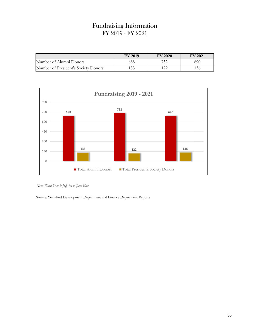#### Fundraising Information FY 2019 - FY 2021

|                                      | <b>FY 2019</b> | <b>FY 2020</b> | <b>FY 2021</b> |
|--------------------------------------|----------------|----------------|----------------|
| Number of Alumni Donors              | 688            | 732            | 690            |
| Number of President's Society Donors | 133            | 1 ລິ           | ' 36           |



*Note: Fiscal Year is July 1st to June 30th*

Source: Year-End Development Department and Finance Department Reports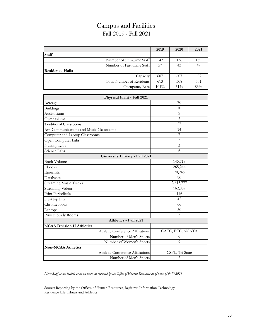## Campus and Facilities Fall 2019 - Fall 2021

|                        |                           | 2019    | 2020 | 2021 |
|------------------------|---------------------------|---------|------|------|
| <b>Staff</b>           |                           |         |      |      |
|                        | Number of Full-Time Staff | 142     | 136  | 139  |
|                        | Number of Part-Time Staff | 57      | 43   | 47   |
| <b>Residence Halls</b> |                           |         |      |      |
|                        | Capacity                  | 607     | 607  | 607  |
|                        | Total Number of Residents | 613     | 308  | 501  |
|                        | Occupancy Rate            | $101\%$ | 51%  | 83%  |

| Physical Plant - Fall 2021               |                  |  |  |  |
|------------------------------------------|------------------|--|--|--|
| Acreage                                  | 70               |  |  |  |
| <b>Buildings</b>                         | 10               |  |  |  |
| Auditoriums                              | $\overline{2}$   |  |  |  |
| Gymnasiums                               | $\overline{2}$   |  |  |  |
| <b>Traditional Classrooms</b>            | 27               |  |  |  |
| Art, Communications and Music Classrooms | 14               |  |  |  |
| Computer and Laptop Classrooms           | 7                |  |  |  |
| Open Computer Labs                       | 3                |  |  |  |
| Nursing Labs                             | 3                |  |  |  |
| Science Labs                             | 6                |  |  |  |
| University Library - Fall 2021           |                  |  |  |  |
| <b>Book Volumes</b>                      | 145,718          |  |  |  |
| Ebooks                                   | 265,244          |  |  |  |
| Ejournals                                | 70,946           |  |  |  |
| Databases                                | 90               |  |  |  |
| <b>Streaming Music Tracks</b>            | 2,615,777        |  |  |  |
| <b>Streaming Videos</b>                  | 162,839          |  |  |  |
| <b>Print Periodicals</b>                 | 116              |  |  |  |
| Desktop PCs                              | 42               |  |  |  |
| Chromebooks                              | 66               |  |  |  |
| Laptops                                  | 50               |  |  |  |
| Private Study Rooms                      | 3                |  |  |  |
| Athletics - Fall 2021                    |                  |  |  |  |
| <b>NCAA Division II Athletics</b>        |                  |  |  |  |
| Athletic Conference Affiliations         | CACC, ECC, NCATA |  |  |  |
| Number of Men's Sports                   | 6                |  |  |  |
| Number of Women's Sports                 | 9                |  |  |  |
| <b>Non-NCAA Athletics</b>                |                  |  |  |  |
| Athletic Conference Affiliations         | CSFL, Tri-State  |  |  |  |
| Number of Men's Sports                   | 2                |  |  |  |

*Note: Staff totals include those on leave, as reported by the Office of Human Resources as of week of 9/7/2021*

Source: Reporting by the Offices of Human Resources, Registrar, Information Technology, Residence Life, Library and Athletics